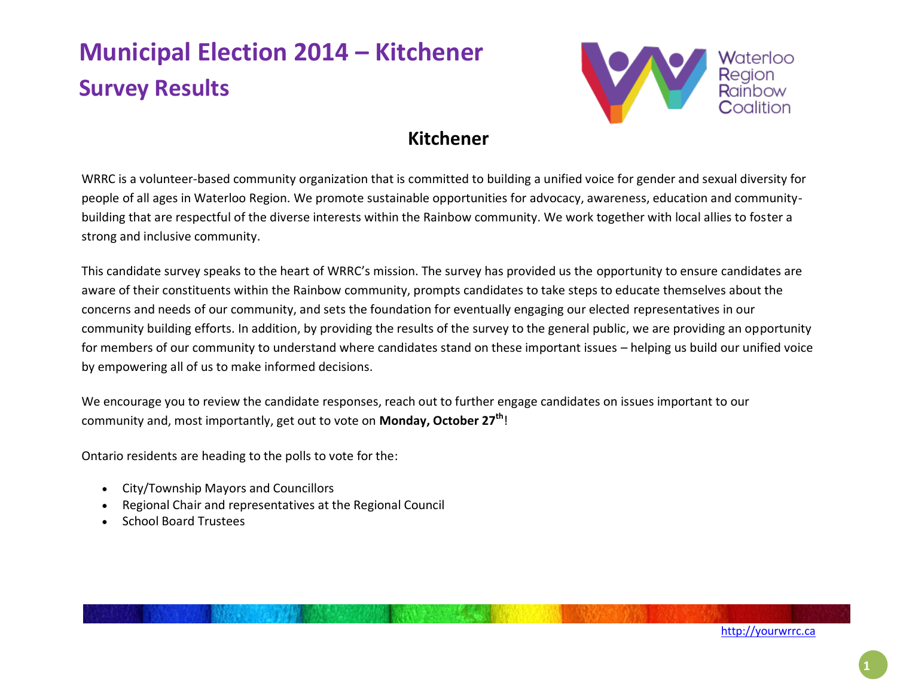

### **Kitchener**

WRRC is a volunteer-based community organization that is committed to building a unified voice for gender and sexual diversity for people of all ages in Waterloo Region. We promote sustainable opportunities for advocacy, awareness, education and communitybuilding that are respectful of the diverse interests within the Rainbow community. We work together with local allies to foster a strong and inclusive community.

This candidate survey speaks to the heart of WRRC's mission. The survey has provided us the opportunity to ensure candidates are aware of their constituents within the Rainbow community, prompts candidates to take steps to educate themselves about the concerns and needs of our community, and sets the foundation for eventually engaging our elected representatives in our community building efforts. In addition, by providing the results of the survey to the general public, we are providing an opportunity for members of our community to understand where candidates stand on these important issues – helping us build our unified voice by empowering all of us to make informed decisions.

We encourage you to review the candidate responses, reach out to further engage candidates on issues important to our community and, most importantly, get out to vote on **Monday, October 27th**!

Ontario residents are heading to the polls to vote for the:

- City/Township Mayors and Councillors
- Regional Chair and representatives at the Regional Council
- School Board Trustees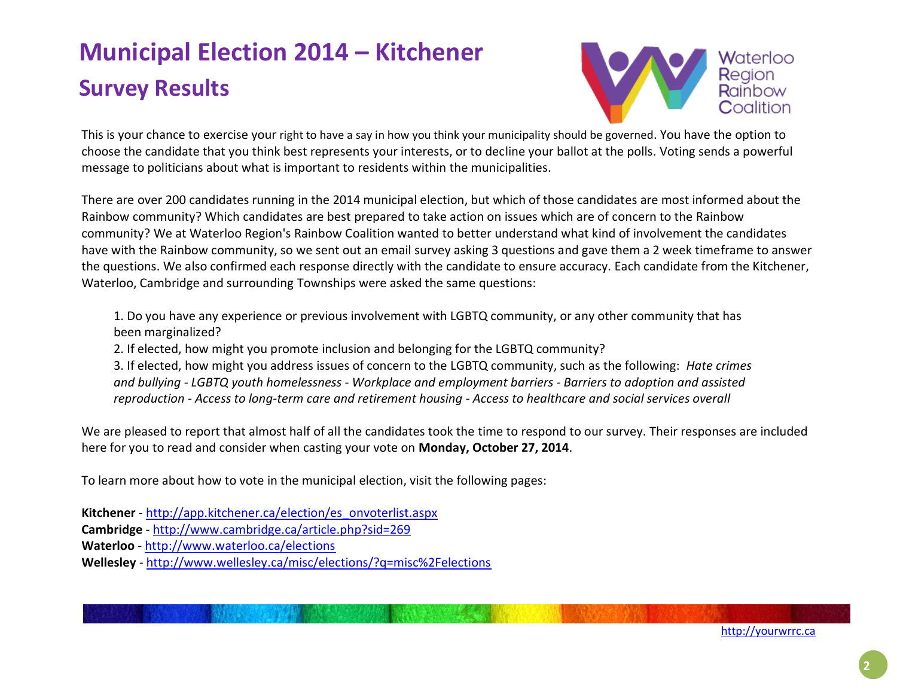

 This is your chance to exercise your right to have a say in how you think your municipality should be governed. You have the option to choose the candidate that you think best represents your interests, or to decline your ballot at the polls. Voting sends a powerful message to politicians about what is important to residents within the municipalities.

There are over 200 candidates running in the 2014 municipal election, but which of those candidates are most informed about the Rainbow community? Which candidates are best prepared to take action on issues which are of concern to the Rainbow community? We at Waterloo Region's Rainbow Coalition wanted to better understand what kind of involvement the candidates have with the Rainbow community, so we sent out an email survey asking 3 questions and gave them a 2 week timeframe to answer the questions. We also confirmed each response directly with the candidate to ensure accuracy. Each candidate from the Kitchener, Waterloo, Cambridge and surrounding Townships were asked the same questions:

1. Do you have any experience or previous involvement with LGBTQ community, or any other community that has been marginalized?

2. If elected, how might you promote inclusion and belonging for the LGBTQ community?

3. If elected, how might you address issues of concern to the LGBTQ community, such as the following: *Hate crimes and bullying - LGBTQ youth homelessness - Workplace and employment barriers - Barriers to adoption and assisted reproduction - Access to long-term care and retirement housing - Access to healthcare and social services overall*

We are pleased to report that almost half of all the candidates took the time to respond to our survey. Their responses are included here for you to read and consider when casting your vote on **Monday, October 27, 2014**.

To learn more about how to vote in the municipal election, visit the following pages:

**Kitchener** - [http://app.kitchener.ca/election/es\\_onvoterlist.aspx](http://l.facebook.com/l.php?u=http%3A%2F%2Fapp.kitchener.ca%2Felection%2Fes_onvoterlist.aspx&h=aAQE8oZhV&s=1)

**Cambridge** - <http://www.cambridge.ca/article.php?sid=269>

**Waterloo** - [http://www.waterloo.ca/elections](http://l.facebook.com/l.php?u=http%3A%2F%2Fwww.waterloo.ca%2Felections&h=zAQELzEL4&s=1)

**Wellesley** - [http://www.wellesley.ca/misc/elections/?q=misc%2Felections](http://l.facebook.com/l.php?u=http%3A%2F%2Fwww.wellesley.ca%2Fmisc%2Felections%2F%3Fq%3Dmisc%252Felections&h=6AQEsmakt&s=1)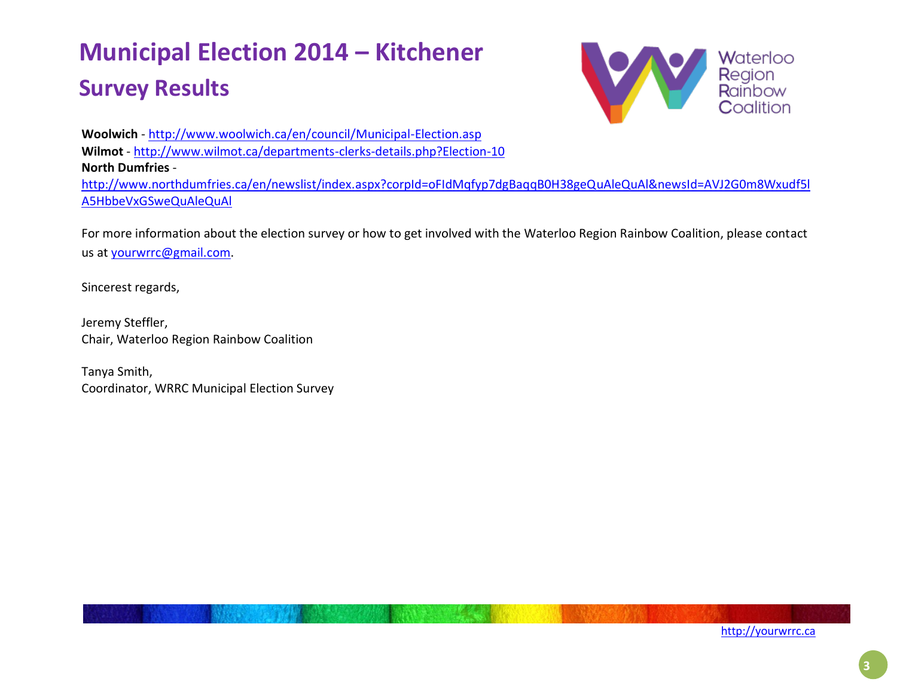

 **Woolwich** - <http://www.woolwich.ca/en/council/Municipal-Election.asp> **Wilmot** - <http://www.wilmot.ca/departments-clerks-details.php?Election-10> **North Dumfries** [http://www.northdumfries.ca/en/newslist/index.aspx?corpId=oFIdMqfyp7dgBaqqB0H38geQuAleQuAl&newsId=AVJ2G0m8Wxudf5l](http://www.northdumfries.ca/en/newslist/index.aspx?corpId=oFIdMqfyp7dgBaqqB0H38geQuAleQuAl&newsId=AVJ2G0m8Wxudf5lA5HbbeVxGSweQuAleQuAl) [A5HbbeVxGSweQuAleQuAl](http://www.northdumfries.ca/en/newslist/index.aspx?corpId=oFIdMqfyp7dgBaqqB0H38geQuAleQuAl&newsId=AVJ2G0m8Wxudf5lA5HbbeVxGSweQuAleQuAl)

For more information about the election survey or how to get involved with the Waterloo Region Rainbow Coalition, please contact us at [yourwrrc@gmail.com.](mailto:yourwrrc@gmail.com)

Sincerest regards,

Jeremy Steffler, Chair, Waterloo Region Rainbow Coalition

Tanya Smith, Coordinator, WRRC Municipal Election Survey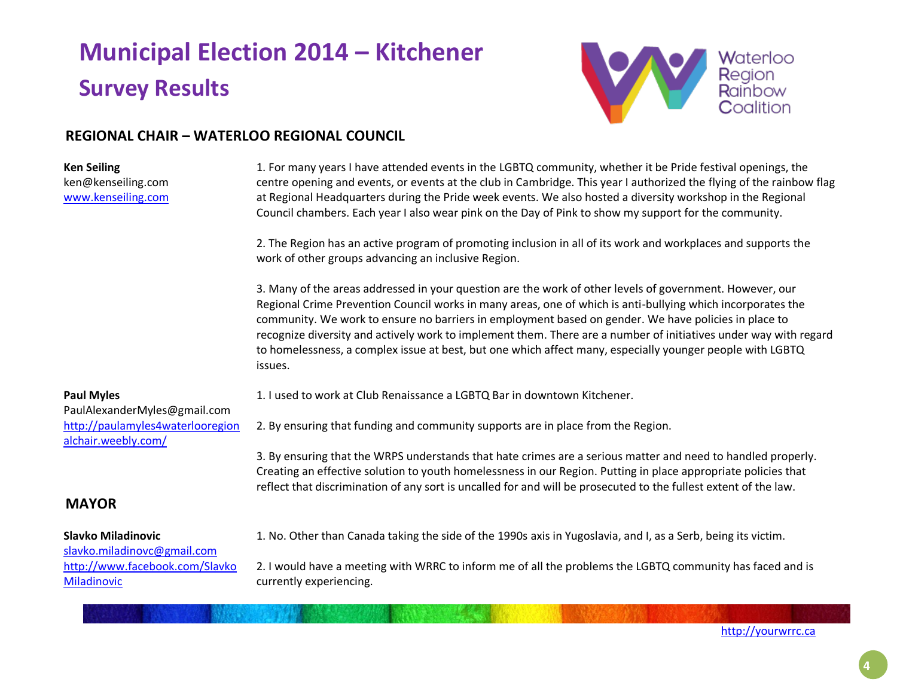

### **REGIONAL CHAIR – WATERLOO REGIONAL COUNCIL**

#### **Ken Seiling** ken@kenseiling.com [www.kenseiling.com](http://www.kenseiling.com/) 1. For many years I have attended events in the LGBTQ community, whether it be Pride festival openings, the centre opening and events, or events at the club in Cambridge. This year I authorized the flying of the rainbow flag at Regional Headquarters during the Pride week events. We also hosted a diversity workshop in the Regional Council chambers. Each year I also wear pink on the Day of Pink to show my support for the community. 2. The Region has an active program of promoting inclusion in all of its work and workplaces and supports the work of other groups advancing an inclusive Region. 3. Many of the areas addressed in your question are the work of other levels of government. However, our Regional Crime Prevention Council works in many areas, one of which is anti-bullying which incorporates the community. We work to ensure no barriers in employment based on gender. We have policies in place to recognize diversity and actively work to implement them. There are a number of initiatives under way with regard to homelessness, a complex issue at best, but one which affect many, especially younger people with LGBTQ issues. **Paul Myles** PaulAlexanderMyles@gmail.com [http://paulamyles4waterlooregion](http://paulamyles4waterlooregionalchair.weebly.com/) [alchair.weebly.com/](http://paulamyles4waterlooregionalchair.weebly.com/) 1. I used to work at Club Renaissance a LGBTQ Bar in downtown Kitchener. 2. By ensuring that funding and community supports are in place from the Region. 3. By ensuring that the WRPS understands that hate crimes are a serious matter and need to handled properly. Creating an effective solution to youth homelessness in our Region. Putting in place appropriate policies that reflect that discrimination of any sort is uncalled for and will be prosecuted to the fullest extent of the law. **MAYOR Slavko Miladinovic** [slavko.miladinovc@gmail.com](mailto:slavko.miladinovc@gmail.com) [http://www.facebook.com/Slavko](http://www.facebook.com/SlavkoMiladinovic) [Miladinovic](http://www.facebook.com/SlavkoMiladinovic) 1. No. Other than Canada taking the side of the 1990s axis in Yugoslavia, and I, as a Serb, being its victim. 2. I would have a meeting with WRRC to inform me of all the problems the LGBTQ community has faced and is currently experiencing.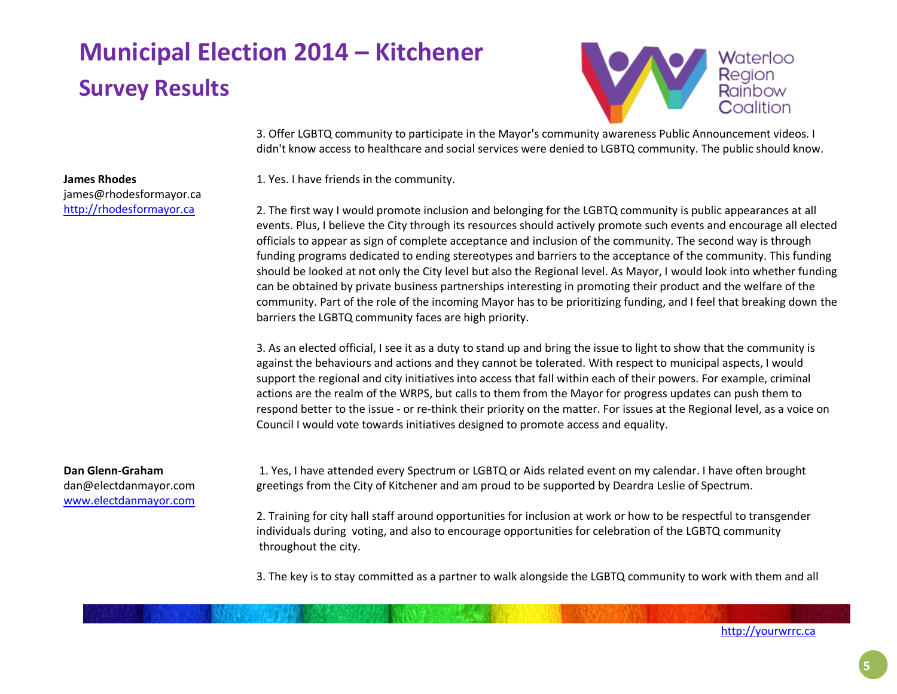

3. Offer LGBTQ community to participate in the Mayor's community awareness Public Announcement videos. I didn't know access to healthcare and social services were denied to LGBTQ community. The public should know.

1. Yes. I have friends in the community.

2. The first way I would promote inclusion and belonging for the LGBTQ community is public appearances at all events. Plus, I believe the City through its resources should actively promote such events and encourage all elected officials to appear as sign of complete acceptance and inclusion of the community. The second way is through funding programs dedicated to ending stereotypes and barriers to the acceptance of the community. This funding should be looked at not only the City level but also the Regional level. As Mayor, I would look into whether funding can be obtained by private business partnerships interesting in promoting their product and the welfare of the community. Part of the role of the incoming Mayor has to be prioritizing funding, and I feel that breaking down the barriers the LGBTQ community faces are high priority.

3. As an elected official, I see it as a duty to stand up and bring the issue to light to show that the community is against the behaviours and actions and they cannot be tolerated. With respect to municipal aspects, I would support the regional and city initiatives into access that fall within each of their powers. For example, criminal actions are the realm of the WRPS, but calls to them from the Mayor for progress updates can push them to respond better to the issue - or re-think their priority on the matter. For issues at the Regional level, as a voice on Council I would vote towards initiatives designed to promote access and equality.

#### **Dan Glenn-Graham**

**James Rhodes**

james@rhodesformayor.ca [http://rhodesformayor.ca](http://rhodesformayor.ca/)

dan@electdanmayor.com [www.electdanmayor.com](http://www.electdanmayor.com/)

1. Yes, I have attended every Spectrum or LGBTQ or Aids related event on my calendar. I have often brought greetings from the City of Kitchener and am proud to be supported by Deardra Leslie of Spectrum.

2. Training for city hall staff around opportunities for inclusion at work or how to be respectful to transgender individuals during voting, and also to encourage opportunities for celebration of the LGBTQ community throughout the city.

3. The key is to stay committed as a partner to walk alongside the LGBTQ community to work with them and all

**5**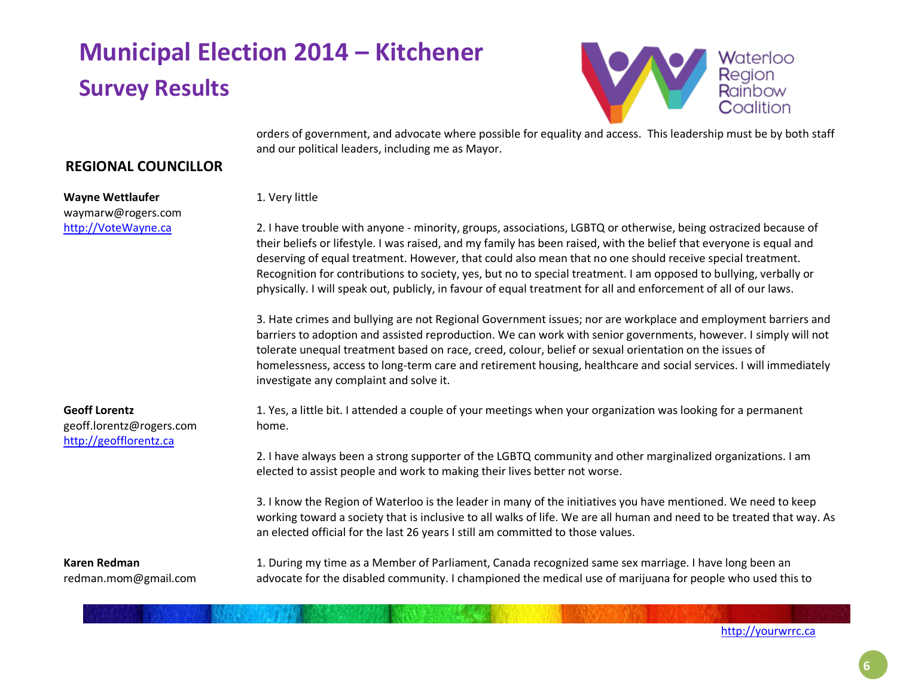

orders of government, and advocate where possible for equality and access. This leadership must be by both staff and our political leaders, including me as Mayor.

### **REGIONAL COUNCILLOR**

**Wayne Wettlaufer** waymarw@rogers.com [http://VoteWayne.ca](http://votewayne.ca/)

1. Very little

2. I have trouble with anyone - minority, groups, associations, LGBTQ or otherwise, being ostracized because of their beliefs or lifestyle. I was raised, and my family has been raised, with the belief that everyone is equal and deserving of equal treatment. However, that could also mean that no one should receive special treatment. Recognition for contributions to society, yes, but no to special treatment. I am opposed to bullying, verbally or physically. I will speak out, publicly, in favour of equal treatment for all and enforcement of all of our laws.

3. Hate crimes and bullying are not Regional Government issues; nor are workplace and employment barriers and barriers to adoption and assisted reproduction. We can work with senior governments, however. I simply will not tolerate unequal treatment based on race, creed, colour, belief or sexual orientation on the issues of homelessness, access to long-term care and retirement housing, healthcare and social services. I will immediately investigate any complaint and solve it.

**Geoff Lorentz** geoff.lorentz@rogers.com [http://geofflorentz.ca](http://geofflorentz.ca/)

1. Yes, a little bit. I attended a couple of your meetings when your organization was looking for a permanent home.

2. I have always been a strong supporter of the LGBTQ community and other marginalized organizations. I am elected to assist people and work to making their lives better not worse.

3. I know the Region of Waterloo is the leader in many of the initiatives you have mentioned. We need to keep working toward a society that is inclusive to all walks of life. We are all human and need to be treated that way. As an elected official for the last 26 years I still am committed to those values.

**Karen Redman** redman.mom@gmail.com 1. During my time as a Member of Parliament, Canada recognized same sex marriage. I have long been an advocate for the disabled community. I championed the medical use of marijuana for people who used this to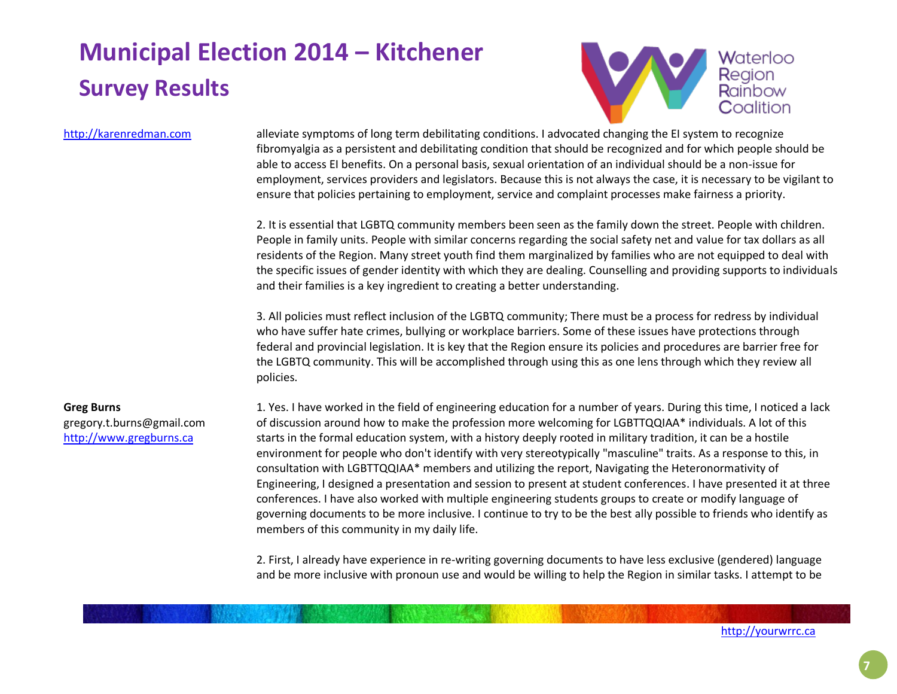

#### http://karenredman.com

alleviate symptoms of long term debilitating conditions. I advocated changing the EI system to recognize fibromyalgia as a persistent and debilitating condition that should be recognized and for which people should be able to access EI benefits. On a personal basis, sexual orientation of an individual should be a non-issue for employment, services providers and legislators. Because this is not always the case, it is necessary to be vigilant to ensure that policies pertaining to employment, service and complaint processes make fairness a priority.

2. It is essential that LGBTQ community members been seen as the family down the street. People with children. People in family units. People with similar concerns regarding the social safety net and value for tax dollars as all residents of the Region. Many street youth find them marginalized by families who are not equipped to deal with the specific issues of gender identity with which they are dealing. Counselling and providing supports to individuals and their families is a key ingredient to creating a better understanding.

3. All policies must reflect inclusion of the LGBTQ community; There must be a process for redress by individual who have suffer hate crimes, bullying or workplace barriers. Some of these issues have protections through federal and provincial legislation. It is key that the Region ensure its policies and procedures are barrier free for the LGBTQ community. This will be accomplished through using this as one lens through which they review all policies.

### **Greg Burns**  gregory.t.burns@gmail.com [http://www.gregburns.ca](http://www.gregburns.ca/)

1. Yes. I have worked in the field of engineering education for a number of years. During this time, I noticed a lack of discussion around how to make the profession more welcoming for LGBTTQQIAA\* individuals. A lot of this starts in the formal education system, with a history deeply rooted in military tradition, it can be a hostile environment for people who don't identify with very stereotypically "masculine" traits. As a response to this, in consultation with LGBTTQQIAA\* members and utilizing the report, Navigating the Heteronormativity of Engineering, I designed a presentation and session to present at student conferences. I have presented it at three conferences. I have also worked with multiple engineering students groups to create or modify language of governing documents to be more inclusive. I continue to try to be the best ally possible to friends who identify as members of this community in my daily life.

2. First, I already have experience in re-writing governing documents to have less exclusive (gendered) language and be more inclusive with pronoun use and would be willing to help the Region in similar tasks. I attempt to be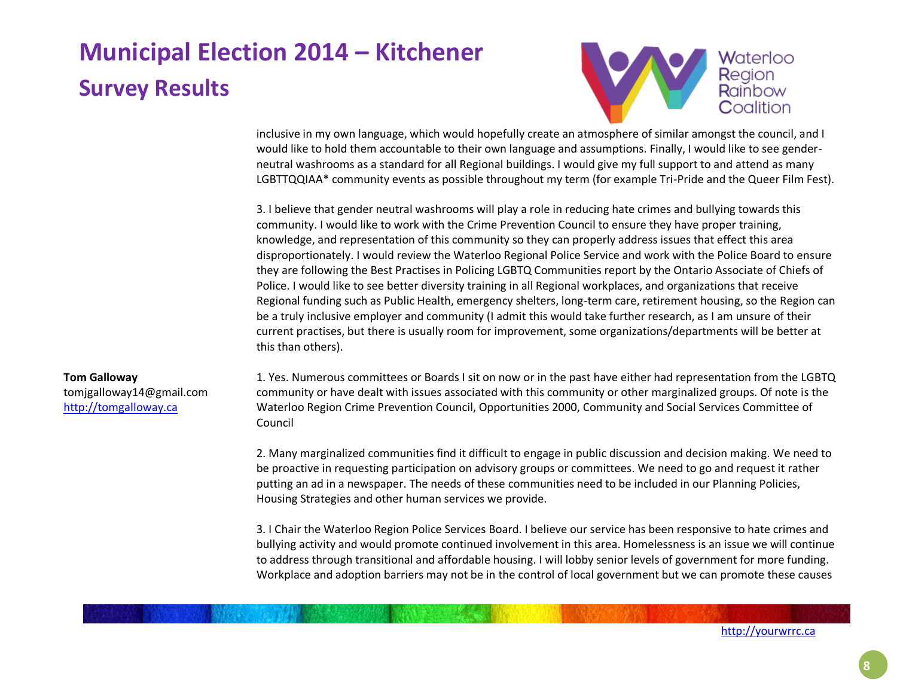

inclusive in my own language, which would hopefully create an atmosphere of similar amongst the council, and I would like to hold them accountable to their own language and assumptions. Finally, I would like to see genderneutral washrooms as a standard for all Regional buildings. I would give my full support to and attend as many LGBTTQQIAA\* community events as possible throughout my term (for example Tri-Pride and the Queer Film Fest).

3. I believe that gender neutral washrooms will play a role in reducing hate crimes and bullying towards this community. I would like to work with the Crime Prevention Council to ensure they have proper training, knowledge, and representation of this community so they can properly address issues that effect this area disproportionately. I would review the Waterloo Regional Police Service and work with the Police Board to ensure they are following the Best Practises in Policing LGBTQ Communities report by the Ontario Associate of Chiefs of Police. I would like to see better diversity training in all Regional workplaces, and organizations that receive Regional funding such as Public Health, emergency shelters, long-term care, retirement housing, so the Region can be a truly inclusive employer and community (I admit this would take further research, as I am unsure of their current practises, but there is usually room for improvement, some organizations/departments will be better at this than others).

#### **Tom Galloway**

tomjgalloway14@gmail.com [http://tomgalloway.ca](http://tomgalloway.ca/)

1. Yes. Numerous committees or Boards I sit on now or in the past have either had representation from the LGBTQ community or have dealt with issues associated with this community or other marginalized groups. Of note is the Waterloo Region Crime Prevention Council, Opportunities 2000, Community and Social Services Committee of Council

2. Many marginalized communities find it difficult to engage in public discussion and decision making. We need to be proactive in requesting participation on advisory groups or committees. We need to go and request it rather putting an ad in a newspaper. The needs of these communities need to be included in our Planning Policies, Housing Strategies and other human services we provide.

3. I Chair the Waterloo Region Police Services Board. I believe our service has been responsive to hate crimes and bullying activity and would promote continued involvement in this area. Homelessness is an issue we will continue to address through transitional and affordable housing. I will lobby senior levels of government for more funding. Workplace and adoption barriers may not be in the control of local government but we can promote these causes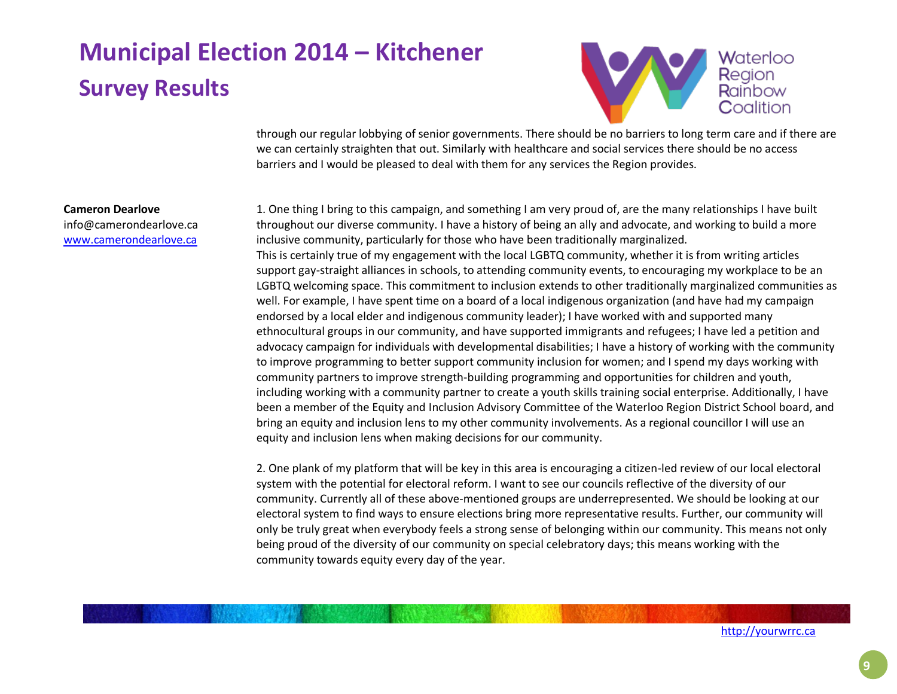

through our regular lobbying of senior governments. There should be no barriers to long term care and if there are we can certainly straighten that out. Similarly with healthcare and social services there should be no access barriers and I would be pleased to deal with them for any services the Region provides.

#### **Cameron Dearlove**

info@camerondearlove.ca [www.camerondearlove.ca](http://www.camerondearlove.ca/)

1. One thing I bring to this campaign, and something I am very proud of, are the many relationships I have built throughout our diverse community. I have a history of being an ally and advocate, and working to build a more inclusive community, particularly for those who have been traditionally marginalized. This is certainly true of my engagement with the local LGBTQ community, whether it is from writing articles support gay-straight alliances in schools, to attending community events, to encouraging my workplace to be an LGBTQ welcoming space. This commitment to inclusion extends to other traditionally marginalized communities as well. For example, I have spent time on a board of a local indigenous organization (and have had my campaign endorsed by a local elder and indigenous community leader); I have worked with and supported many ethnocultural groups in our community, and have supported immigrants and refugees; I have led a petition and advocacy campaign for individuals with developmental disabilities; I have a history of working with the community to improve programming to better support community inclusion for women; and I spend my days working with community partners to improve strength-building programming and opportunities for children and youth, including working with a community partner to create a youth skills training social enterprise. Additionally, I have been a member of the Equity and Inclusion Advisory Committee of the Waterloo Region District School board, and bring an equity and inclusion lens to my other community involvements. As a regional councillor I will use an equity and inclusion lens when making decisions for our community.

2. One plank of my platform that will be key in this area is encouraging a citizen-led review of our local electoral system with the potential for electoral reform. I want to see our councils reflective of the diversity of our community. Currently all of these above-mentioned groups are underrepresented. We should be looking at our electoral system to find ways to ensure elections bring more representative results. Further, our community will only be truly great when everybody feels a strong sense of belonging within our community. This means not only being proud of the diversity of our community on special celebratory days; this means working with the community towards equity every day of the year.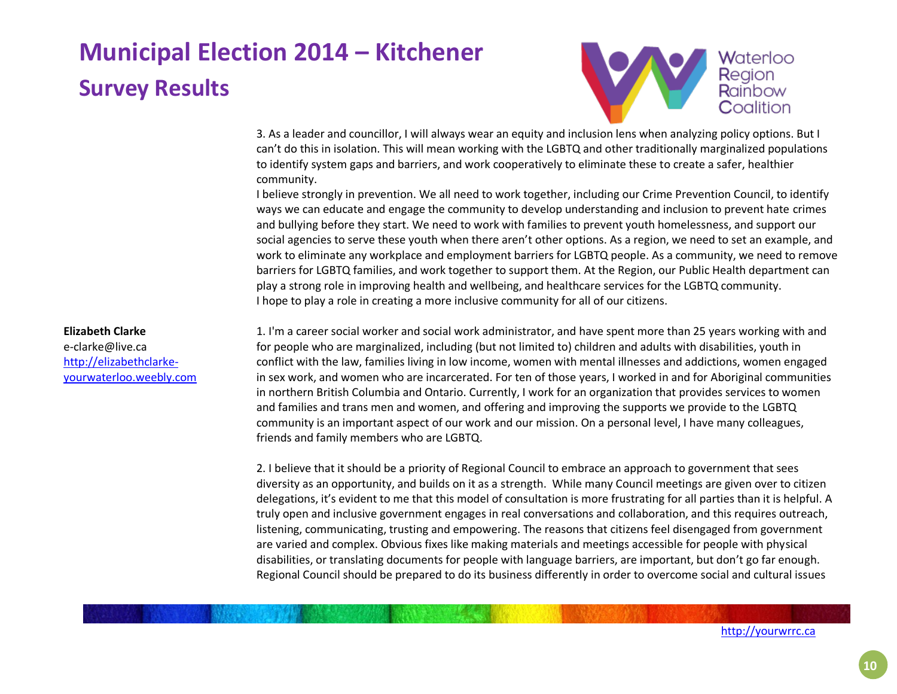

3. As a leader and councillor, I will always wear an equity and inclusion lens when analyzing policy options. But I can't do this in isolation. This will mean working with the LGBTQ and other traditionally marginalized populations to identify system gaps and barriers, and work cooperatively to eliminate these to create a safer, healthier community.

I believe strongly in prevention. We all need to work together, including our Crime Prevention Council, to identify ways we can educate and engage the community to develop understanding and inclusion to prevent hate crimes and bullying before they start. We need to work with families to prevent youth homelessness, and support our social agencies to serve these youth when there aren't other options. As a region, we need to set an example, and work to eliminate any workplace and employment barriers for LGBTQ people. As a community, we need to remove barriers for LGBTQ families, and work together to support them. At the Region, our Public Health department can play a strong role in improving health and wellbeing, and healthcare services for the LGBTQ community. I hope to play a role in creating a more inclusive community for all of our citizens.

#### **Elizabeth Clarke**

e-clarke@live.ca [http://elizabethclarke](http://elizabethclarke-yourwaterloo.weebly.com/)[yourwaterloo.weebly.com](http://elizabethclarke-yourwaterloo.weebly.com/)

1. I'm a career social worker and social work administrator, and have spent more than 25 years working with and for people who are marginalized, including (but not limited to) children and adults with disabilities, youth in conflict with the law, families living in low income, women with mental illnesses and addictions, women engaged in sex work, and women who are incarcerated. For ten of those years, I worked in and for Aboriginal communities in northern British Columbia and Ontario. Currently, I work for an organization that provides services to women and families and trans men and women, and offering and improving the supports we provide to the LGBTQ community is an important aspect of our work and our mission. On a personal level, I have many colleagues, friends and family members who are LGBTQ.

2. I believe that it should be a priority of Regional Council to embrace an approach to government that sees diversity as an opportunity, and builds on it as a strength. While many Council meetings are given over to citizen delegations, it's evident to me that this model of consultation is more frustrating for all parties than it is helpful. A truly open and inclusive government engages in real conversations and collaboration, and this requires outreach, listening, communicating, trusting and empowering. The reasons that citizens feel disengaged from government are varied and complex. Obvious fixes like making materials and meetings accessible for people with physical disabilities, or translating documents for people with language barriers, are important, but don't go far enough. Regional Council should be prepared to do its business differently in order to overcome social and cultural issues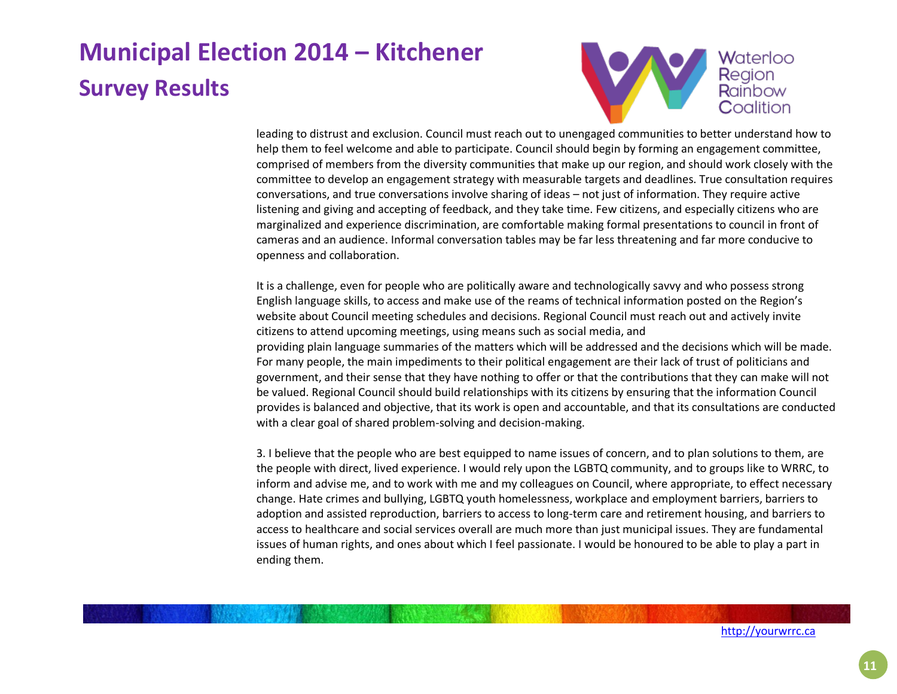

leading to distrust and exclusion. Council must reach out to unengaged communities to better understand how to help them to feel welcome and able to participate. Council should begin by forming an engagement committee, comprised of members from the diversity communities that make up our region, and should work closely with the committee to develop an engagement strategy with measurable targets and deadlines. True consultation requires conversations, and true conversations involve sharing of ideas – not just of information. They require active listening and giving and accepting of feedback, and they take time. Few citizens, and especially citizens who are marginalized and experience discrimination, are comfortable making formal presentations to council in front of cameras and an audience. Informal conversation tables may be far less threatening and far more conducive to openness and collaboration.

It is a challenge, even for people who are politically aware and technologically savvy and who possess strong English language skills, to access and make use of the reams of technical information posted on the Region's website about Council meeting schedules and decisions. Regional Council must reach out and actively invite citizens to attend upcoming meetings, using means such as social media, and providing plain language summaries of the matters which will be addressed and the decisions which will be made. For many people, the main impediments to their political engagement are their lack of trust of politicians and government, and their sense that they have nothing to offer or that the contributions that they can make will not be valued. Regional Council should build relationships with its citizens by ensuring that the information Council provides is balanced and objective, that its work is open and accountable, and that its consultations are conducted with a clear goal of shared problem-solving and decision-making.

3. I believe that the people who are best equipped to name issues of concern, and to plan solutions to them, are the people with direct, lived experience. I would rely upon the LGBTQ community, and to groups like to WRRC, to inform and advise me, and to work with me and my colleagues on Council, where appropriate, to effect necessary change. Hate crimes and bullying, LGBTQ youth homelessness, workplace and employment barriers, barriers to adoption and assisted reproduction, barriers to access to long-term care and retirement housing, and barriers to access to healthcare and social services overall are much more than just municipal issues. They are fundamental issues of human rights, and ones about which I feel passionate. I would be honoured to be able to play a part in ending them.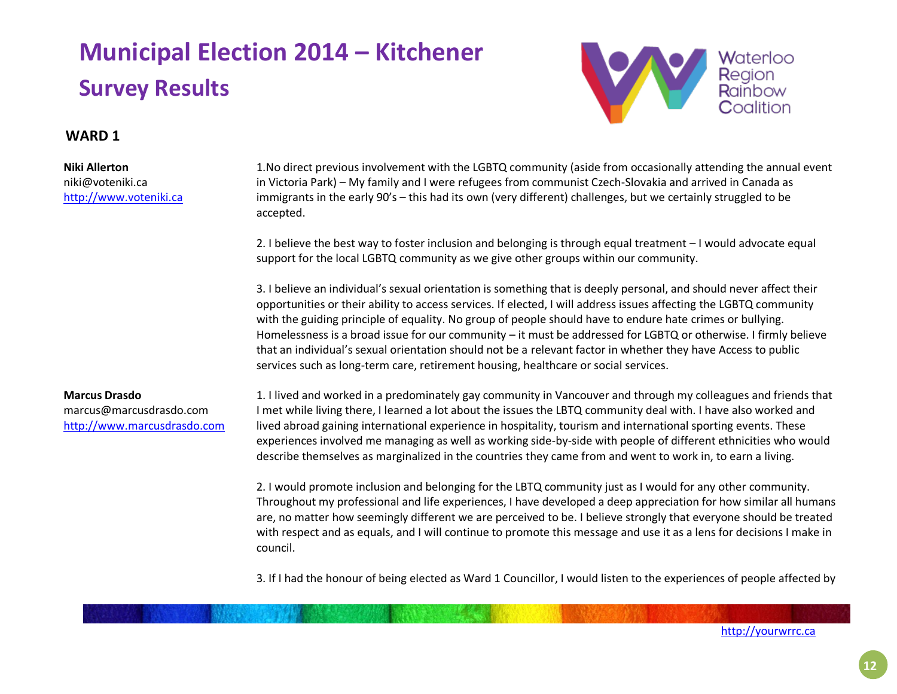

### **WARD 1**

**Niki Allerton**

niki@voteniki.ca [http://www.voteniki.ca](http://www.voteniki.ca/) 1.No direct previous involvement with the LGBTQ community (aside from occasionally attending the annual event in Victoria Park) – My family and I were refugees from communist Czech-Slovakia and arrived in Canada as immigrants in the early 90's – this had its own (very different) challenges, but we certainly struggled to be accepted.

2. I believe the best way to foster inclusion and belonging is through equal treatment – I would advocate equal support for the local LGBTQ community as we give other groups within our community.

3. I believe an individual's sexual orientation is something that is deeply personal, and should never affect their opportunities or their ability to access services. If elected, I will address issues affecting the LGBTQ community with the guiding principle of equality. No group of people should have to endure hate crimes or bullying. Homelessness is a broad issue for our community – it must be addressed for LGBTQ or otherwise. I firmly believe that an individual's sexual orientation should not be a relevant factor in whether they have Access to public services such as long-term care, retirement housing, healthcare or social services.

### **Marcus Drasdo** marcus@marcusdrasdo.com [http://www.marcusdrasdo.com](http://www.marcusdrasdo.com/)

1. I lived and worked in a predominately gay community in Vancouver and through my colleagues and friends that I met while living there, I learned a lot about the issues the LBTQ community deal with. I have also worked and lived abroad gaining international experience in hospitality, tourism and international sporting events. These experiences involved me managing as well as working side-by-side with people of different ethnicities who would describe themselves as marginalized in the countries they came from and went to work in, to earn a living.

2. I would promote inclusion and belonging for the LBTQ community just as I would for any other community. Throughout my professional and life experiences, I have developed a deep appreciation for how similar all humans are, no matter how seemingly different we are perceived to be. I believe strongly that everyone should be treated with respect and as equals, and I will continue to promote this message and use it as a lens for decisions I make in council.

3. If I had the honour of being elected as Ward 1 Councillor, I would listen to the experiences of people affected by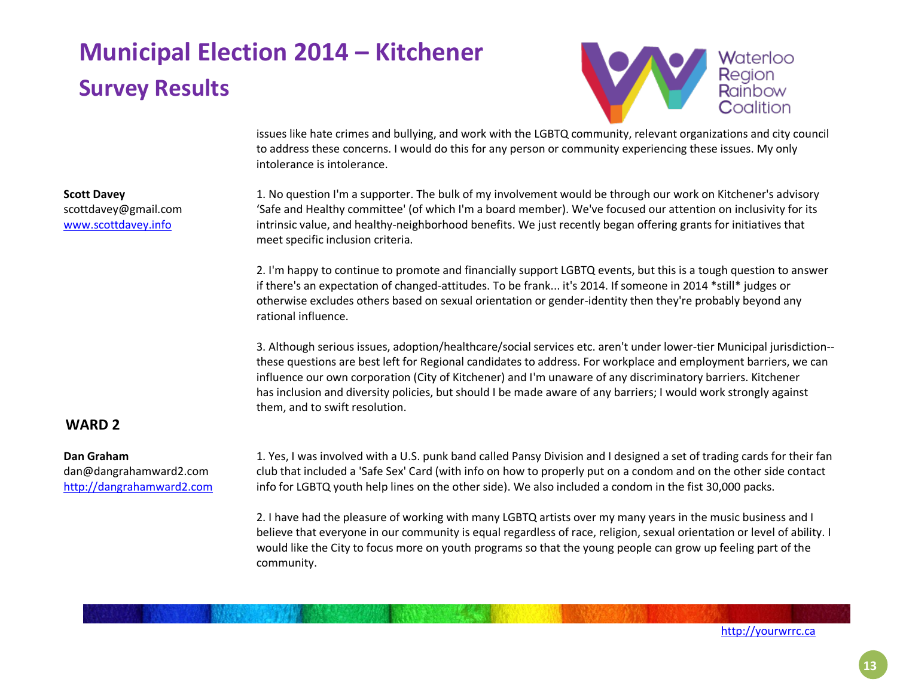

issues like hate crimes and bullying, and work with the LGBTQ community, relevant organizations and city council to address these concerns. I would do this for any person or community experiencing these issues. My only intolerance is intolerance.

**Scott Davey** scottdavey@gmail.com [www.scottdavey.info](http://www.scottdavey.info/)

1. No question I'm a supporter. The bulk of my involvement would be through our work on Kitchener's advisory 'Safe and Healthy committee' (of which I'm a board member). We've focused our attention on inclusivity for its intrinsic value, and healthy-neighborhood benefits. We just recently began offering grants for initiatives that meet specific inclusion criteria.

2. I'm happy to continue to promote and financially support LGBTQ events, but this is a tough question to answer if there's an expectation of changed-attitudes. To be frank... it's 2014. If someone in 2014 \*still\* judges or otherwise excludes others based on sexual orientation or gender-identity then they're probably beyond any rational influence.

3. Although serious issues, adoption/healthcare/social services etc. aren't under lower-tier Municipal jurisdiction- these questions are best left for Regional candidates to address. For workplace and employment barriers, we can influence our own corporation (City of Kitchener) and I'm unaware of any discriminatory barriers. Kitchener has inclusion and diversity policies, but should I be made aware of any barriers; I would work strongly against them, and to swift resolution.

### **WARD 2**

#### **Dan Graham**

dan@dangrahamward2.com [http://dangrahamward2.com](http://dangrahamward2.com/) 1. Yes, I was involved with a U.S. punk band called Pansy Division and I designed a set of trading cards for their fan club that included a 'Safe Sex' Card (with info on how to properly put on a condom and on the other side contact info for LGBTQ youth help lines on the other side). We also included a condom in the fist 30,000 packs.

2. I have had the pleasure of working with many LGBTQ artists over my many years in the music business and I believe that everyone in our community is equal regardless of race, religion, sexual orientation or level of ability. I would like the City to focus more on youth programs so that the young people can grow up feeling part of the community.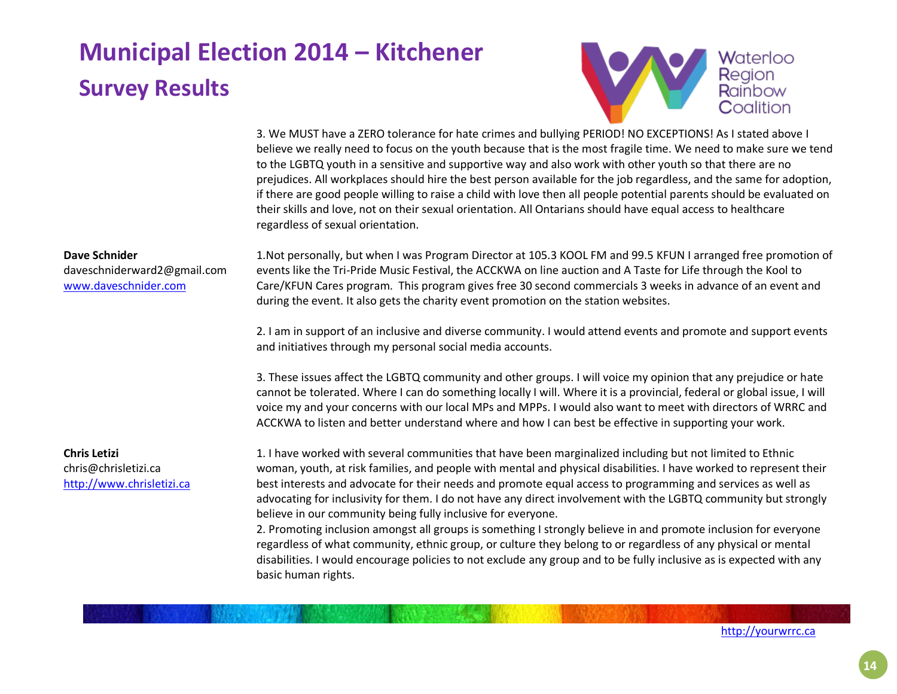

3. We MUST have a ZERO tolerance for hate crimes and bullying PERIOD! NO EXCEPTIONS! As I stated above I believe we really need to focus on the youth because that is the most fragile time. We need to make sure we tend to the LGBTQ youth in a sensitive and supportive way and also work with other youth so that there are no prejudices. All workplaces should hire the best person available for the job regardless, and the same for adoption, if there are good people willing to raise a child with love then all people potential parents should be evaluated on their skills and love, not on their sexual orientation. All Ontarians should have equal access to healthcare regardless of sexual orientation.

#### **Dave Schnider**

daveschniderward2@gmail.com [www.daveschnider.com](http://www.daveschnider.com/)

**Chris Letizi**

chris@chrisletizi.ca [http://www.chrisletizi.ca](http://www.chrisletizi.ca/) 1.Not personally, but when I was Program Director at 105.3 KOOL FM and 99.5 KFUN I arranged free promotion of events like the Tri-Pride Music Festival, the ACCKWA on line auction and A Taste for Life through the Kool to Care/KFUN Cares program. This program gives free 30 second commercials 3 weeks in advance of an event and during the event. It also gets the charity event promotion on the station websites.

2. I am in support of an inclusive and diverse community. I would attend events and promote and support events and initiatives through my personal social media accounts.

3. These issues affect the LGBTQ community and other groups. I will voice my opinion that any prejudice or hate cannot be tolerated. Where I can do something locally I will. Where it is a provincial, federal or global issue, I will voice my and your concerns with our local MPs and MPPs. I would also want to meet with directors of WRRC and ACCKWA to listen and better understand where and how I can best be effective in supporting your work.

1. I have worked with several communities that have been marginalized including but not limited to Ethnic woman, youth, at risk families, and people with mental and physical disabilities. I have worked to represent their best interests and advocate for their needs and promote equal access to programming and services as well as advocating for inclusivity for them. I do not have any direct involvement with the LGBTQ community but strongly believe in our community being fully inclusive for everyone.

2. Promoting inclusion amongst all groups is something I strongly believe in and promote inclusion for everyone regardless of what community, ethnic group, or culture they belong to or regardless of any physical or mental disabilities. I would encourage policies to not exclude any group and to be fully inclusive as is expected with any basic human rights.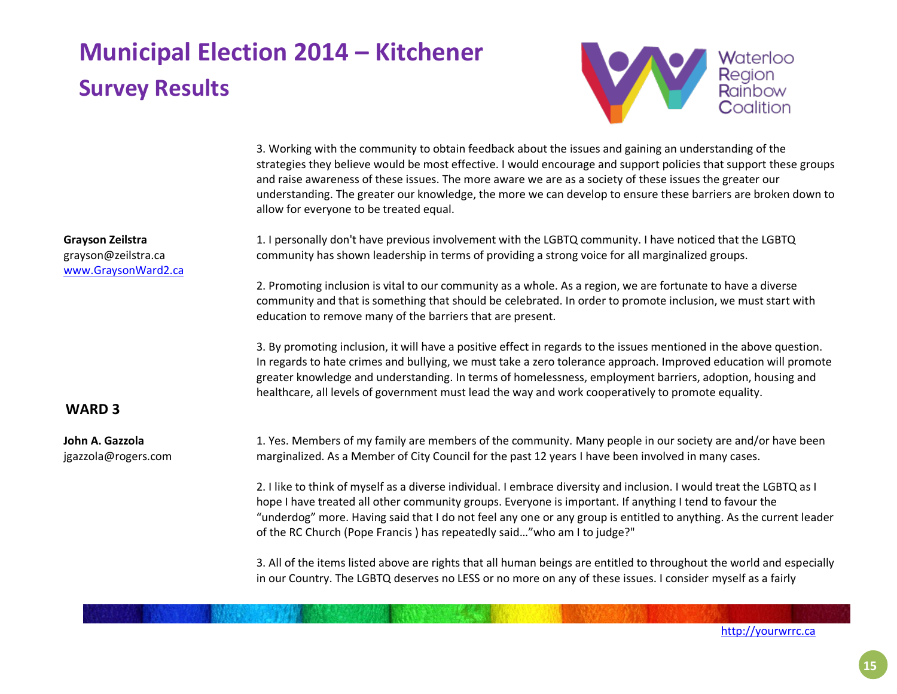

3. Working with the community to obtain feedback about the issues and gaining an understanding of the strategies they believe would be most effective. I would encourage and support policies that support these groups and raise awareness of these issues. The more aware we are as a society of these issues the greater our understanding. The greater our knowledge, the more we can develop to ensure these barriers are broken down to allow for everyone to be treated equal.

1. I personally don't have previous involvement with the LGBTQ community. I have noticed that the LGBTQ community has shown leadership in terms of providing a strong voice for all marginalized groups.

2. Promoting inclusion is vital to our community as a whole. As a region, we are fortunate to have a diverse community and that is something that should be celebrated. In order to promote inclusion, we must start with education to remove many of the barriers that are present.

3. By promoting inclusion, it will have a positive effect in regards to the issues mentioned in the above question. In regards to hate crimes and bullying, we must take a zero tolerance approach. Improved education will promote greater knowledge and understanding. In terms of homelessness, employment barriers, adoption, housing and healthcare, all levels of government must lead the way and work cooperatively to promote equality.

### **WARD 3**

**Grayson Zeilstra** grayson@zeilstra.ca [www.GraysonWard2.ca](http://www.graysonward2.ca/)

**John A. Gazzola** jgazzola@rogers.com 1. Yes. Members of my family are members of the community. Many people in our society are and/or have been marginalized. As a Member of City Council for the past 12 years I have been involved in many cases.

2. I like to think of myself as a diverse individual. I embrace diversity and inclusion. I would treat the LGBTQ as I hope I have treated all other community groups. Everyone is important. If anything I tend to favour the "underdog" more. Having said that I do not feel any one or any group is entitled to anything. As the current leader of the RC Church (Pope Francis ) has repeatedly said…"who am I to judge?"

3. All of the items listed above are rights that all human beings are entitled to throughout the world and especially in our Country. The LGBTQ deserves no LESS or no more on any of these issues. I consider myself as a fairly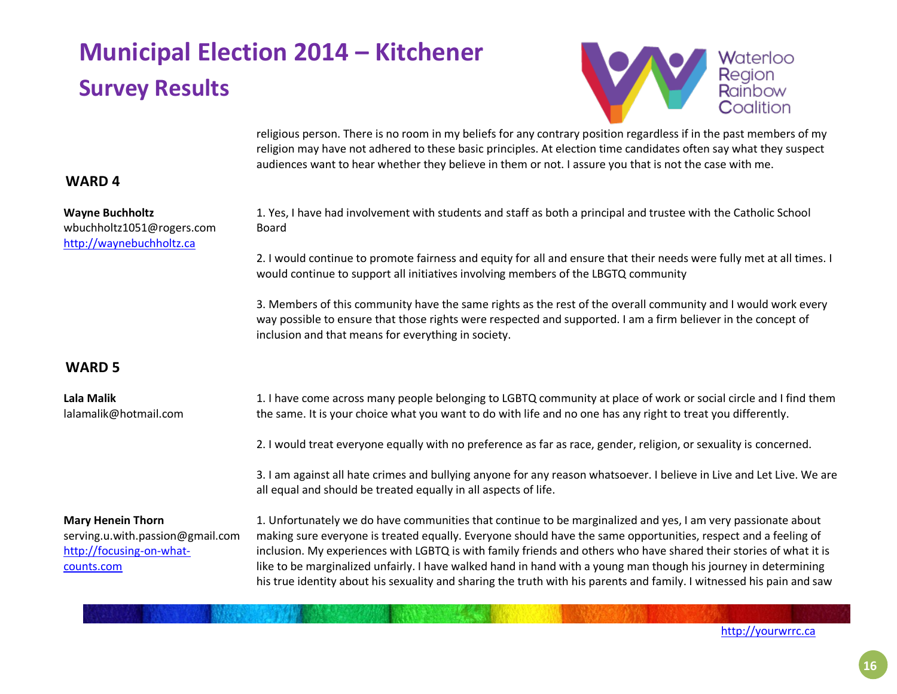Board



religious person. There is no room in my beliefs for any contrary position regardless if in the past members of my religion may have not adhered to these basic principles. At election time candidates often say what they suspect audiences want to hear whether they believe in them or not. I assure you that is not the case with me.

1. Yes, I have had involvement with students and staff as both a principal and trustee with the Catholic School

2. I would continue to promote fairness and equity for all and ensure that their needs were fully met at all times. I

3. Members of this community have the same rights as the rest of the overall community and I would work every way possible to ensure that those rights were respected and supported. I am a firm believer in the concept of

### **WARD 4**

| <b>Wayne Buchholtz</b>    |
|---------------------------|
| wbuchholtz1051@rogers.com |
| http://waynebuchholtz.ca  |

### **WARD 5**

| Lala Malik<br>lalamalik@hotmail.com                                                                    | 1. I have come across many people belonging to LGBTQ community at place of work or social circle and I find them<br>the same. It is your choice what you want to do with life and no one has any right to treat you differently.                                                                                                                                                                                                                                                                                                                                                                 |
|--------------------------------------------------------------------------------------------------------|--------------------------------------------------------------------------------------------------------------------------------------------------------------------------------------------------------------------------------------------------------------------------------------------------------------------------------------------------------------------------------------------------------------------------------------------------------------------------------------------------------------------------------------------------------------------------------------------------|
|                                                                                                        | 2. I would treat everyone equally with no preference as far as race, gender, religion, or sexuality is concerned.                                                                                                                                                                                                                                                                                                                                                                                                                                                                                |
|                                                                                                        | 3. I am against all hate crimes and bullying anyone for any reason whatsoever. I believe in Live and Let Live. We are<br>all equal and should be treated equally in all aspects of life.                                                                                                                                                                                                                                                                                                                                                                                                         |
| <b>Mary Henein Thorn</b><br>serving.u.with.passion@gmail.com<br>http://focusing-on-what-<br>counts.com | 1. Unfortunately we do have communities that continue to be marginalized and yes, I am very passionate about<br>making sure everyone is treated equally. Everyone should have the same opportunities, respect and a feeling of<br>inclusion. My experiences with LGBTQ is with family friends and others who have shared their stories of what it is<br>like to be marginalized unfairly. I have walked hand in hand with a young man though his journey in determining<br>his true identity about his sexuality and sharing the truth with his parents and family. I witnessed his pain and saw |

would continue to support all initiatives involving members of the LBGTQ community

inclusion and that means for everything in society.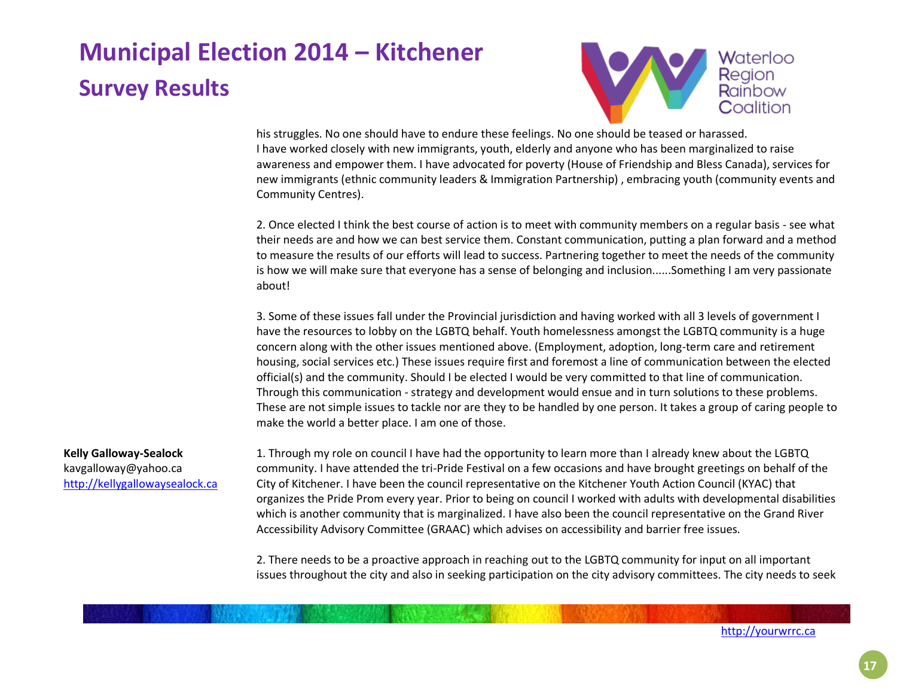

his struggles. No one should have to endure these feelings. No one should be teased or harassed. I have worked closely with new immigrants, youth, elderly and anyone who has been marginalized to raise awareness and empower them. I have advocated for poverty (House of Friendship and Bless Canada), services for new immigrants (ethnic community leaders & Immigration Partnership) , embracing youth (community events and Community Centres).

2. Once elected I think the best course of action is to meet with community members on a regular basis - see what their needs are and how we can best service them. Constant communication, putting a plan forward and a method to measure the results of our efforts will lead to success. Partnering together to meet the needs of the community is how we will make sure that everyone has a sense of belonging and inclusion......Something I am very passionate about!

3. Some of these issues fall under the Provincial jurisdiction and having worked with all 3 levels of government I have the resources to lobby on the LGBTQ behalf. Youth homelessness amongst the LGBTQ community is a huge concern along with the other issues mentioned above. (Employment, adoption, long-term care and retirement housing, social services etc.) These issues require first and foremost a line of communication between the elected official(s) and the community. Should I be elected I would be very committed to that line of communication. Through this communication - strategy and development would ensue and in turn solutions to these problems. These are not simple issues to tackle nor are they to be handled by one person. It takes a group of caring people to make the world a better place. I am one of those.

#### **Kelly Galloway-Sealock**

kavgalloway@yahoo.ca [http://kellygallowaysealock.ca](http://kellygallowaysealock.ca/) 1. Through my role on council I have had the opportunity to learn more than I already knew about the LGBTQ community. I have attended the tri-Pride Festival on a few occasions and have brought greetings on behalf of the City of Kitchener. I have been the council representative on the Kitchener Youth Action Council (KYAC) that organizes the Pride Prom every year. Prior to being on council I worked with adults with developmental disabilities which is another community that is marginalized. I have also been the council representative on the Grand River Accessibility Advisory Committee (GRAAC) which advises on accessibility and barrier free issues.

2. There needs to be a proactive approach in reaching out to the LGBTQ community for input on all important issues throughout the city and also in seeking participation on the city advisory committees. The city needs to seek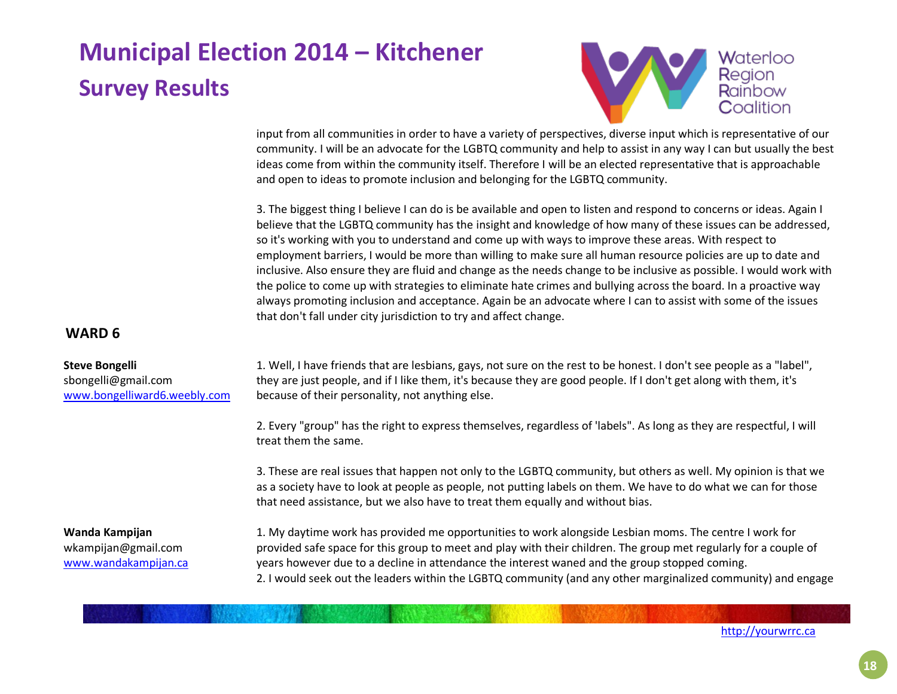

input from all communities in order to have a variety of perspectives, diverse input which is representative of our community. I will be an advocate for the LGBTQ community and help to assist in any way I can but usually the best ideas come from within the community itself. Therefore I will be an elected representative that is approachable and open to ideas to promote inclusion and belonging for the LGBTQ community.

3. The biggest thing I believe I can do is be available and open to listen and respond to concerns or ideas. Again I believe that the LGBTQ community has the insight and knowledge of how many of these issues can be addressed, so it's working with you to understand and come up with ways to improve these areas. With respect to employment barriers, I would be more than willing to make sure all human resource policies are up to date and inclusive. Also ensure they are fluid and change as the needs change to be inclusive as possible. I would work with the police to come up with strategies to eliminate hate crimes and bullying across the board. In a proactive way always promoting inclusion and acceptance. Again be an advocate where I can to assist with some of the issues that don't fall under city jurisdiction to try and affect change.

### **WARD 6**

#### **Steve Bongelli**

sbongelli@gmail.com [www.bongelliward6.weebly.com](http://www.bongelliward6.weebly.com/) 1. Well, I have friends that are lesbians, gays, not sure on the rest to be honest. I don't see people as a "label", they are just people, and if I like them, it's because they are good people. If I don't get along with them, it's because of their personality, not anything else.

2. Every "group" has the right to express themselves, regardless of 'labels". As long as they are respectful, I will treat them the same.

3. These are real issues that happen not only to the LGBTQ community, but others as well. My opinion is that we as a society have to look at people as people, not putting labels on them. We have to do what we can for those that need assistance, but we also have to treat them equally and without bias.

**Wanda Kampijan** wkampijan@gmail.com [www.wandakampijan.ca](http://www.wandakampijan.ca/) 1. My daytime work has provided me opportunities to work alongside Lesbian moms. The centre I work for provided safe space for this group to meet and play with their children. The group met regularly for a couple of years however due to a decline in attendance the interest waned and the group stopped coming. 2. I would seek out the leaders within the LGBTQ community (and any other marginalized community) and engage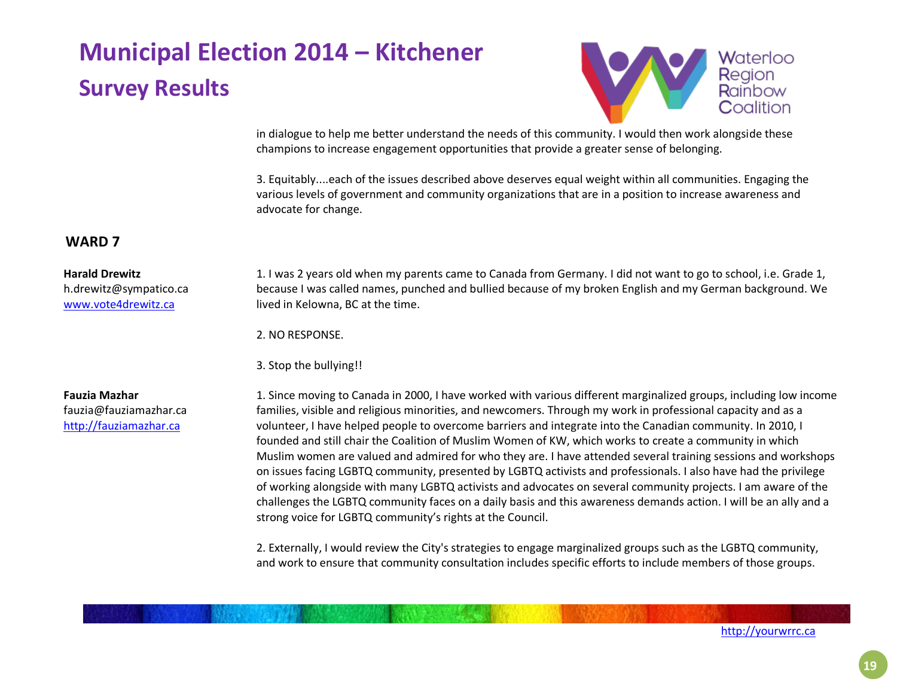

in dialogue to help me better understand the needs of this community. I would then work alongside these champions to increase engagement opportunities that provide a greater sense of belonging.

3. Equitably....each of the issues described above deserves equal weight within all communities. Engaging the various levels of government and community organizations that are in a position to increase awareness and advocate for change.

### **WARD 7**

#### **Harald Drewitz**

h.drewitz@sympatico.ca [www.vote4drewitz.ca](http://www.vote4drewitz.ca/)

1. I was 2 years old when my parents came to Canada from Germany. I did not want to go to school, i.e. Grade 1, because I was called names, punched and bullied because of my broken English and my German background. We lived in Kelowna, BC at the time.

2. NO RESPONSE.

3. Stop the bullying!!

**Fauzia Mazhar** fauzia@fauziamazhar.ca [http://fauziamazhar.ca](http://fauziamazhar.ca/)

1. Since moving to Canada in 2000, I have worked with various different marginalized groups, including low income families, visible and religious minorities, and newcomers. Through my work in professional capacity and as a volunteer, I have helped people to overcome barriers and integrate into the Canadian community. In 2010, I founded and still chair the Coalition of Muslim Women of KW, which works to create a community in which Muslim women are valued and admired for who they are. I have attended several training sessions and workshops on issues facing LGBTQ community, presented by LGBTQ activists and professionals. I also have had the privilege of working alongside with many LGBTQ activists and advocates on several community projects. I am aware of the challenges the LGBTQ community faces on a daily basis and this awareness demands action. I will be an ally and a strong voice for LGBTQ community's rights at the Council.

2. Externally, I would review the City's strategies to engage marginalized groups such as the LGBTQ community, and work to ensure that community consultation includes specific efforts to include members of those groups.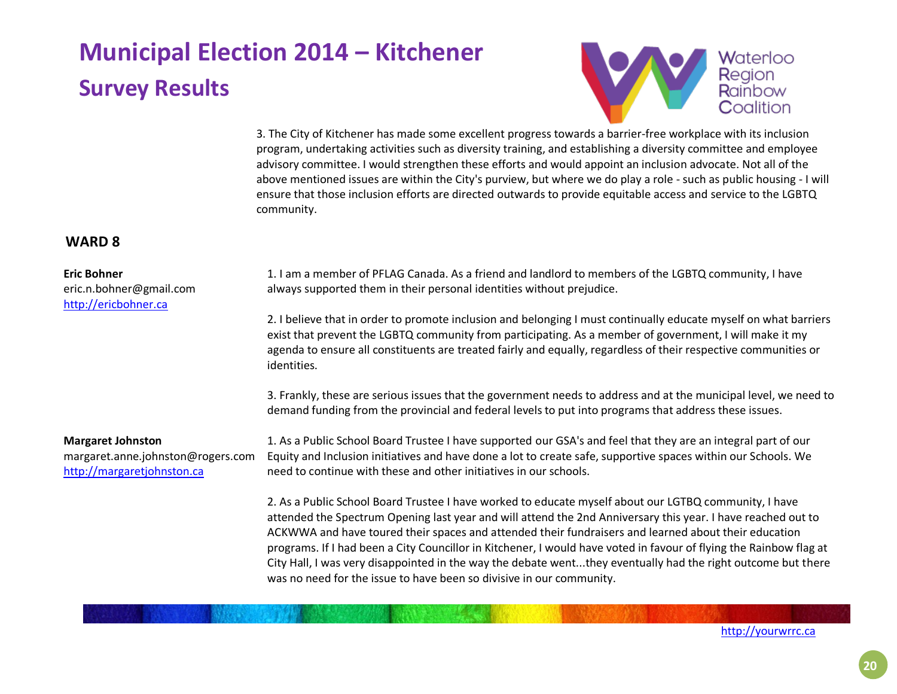

3. The City of Kitchener has made some excellent progress towards a barrier-free workplace with its inclusion program, undertaking activities such as diversity training, and establishing a diversity committee and employee advisory committee. I would strengthen these efforts and would appoint an inclusion advocate. Not all of the above mentioned issues are within the City's purview, but where we do play a role - such as public housing - I will ensure that those inclusion efforts are directed outwards to provide equitable access and service to the LGBTQ community.

### **WARD 8**

#### **Eric Bohner**

eric.n.bohner@gmail.com [http://ericbohner.ca](http://ericbohner.ca/)

1. I am a member of PFLAG Canada. As a friend and landlord to members of the LGBTQ community, I have always supported them in their personal identities without prejudice.

2. I believe that in order to promote inclusion and belonging I must continually educate myself on what barriers exist that prevent the LGBTQ community from participating. As a member of government, I will make it my agenda to ensure all constituents are treated fairly and equally, regardless of their respective communities or identities.

3. Frankly, these are serious issues that the government needs to address and at the municipal level, we need to demand funding from the provincial and federal levels to put into programs that address these issues.

#### **Margaret Johnston**

margaret.anne.johnston@rogers.com [http://margaretjohnston.ca](http://margaretjohnston.ca/)

1. As a Public School Board Trustee I have supported our GSA's and feel that they are an integral part of our Equity and Inclusion initiatives and have done a lot to create safe, supportive spaces within our Schools. We need to continue with these and other initiatives in our schools.

2. As a Public School Board Trustee I have worked to educate myself about our LGTBQ community, I have attended the Spectrum Opening last year and will attend the 2nd Anniversary this year. I have reached out to ACKWWA and have toured their spaces and attended their fundraisers and learned about their education programs. If I had been a City Councillor in Kitchener, I would have voted in favour of flying the Rainbow flag at City Hall, I was very disappointed in the way the debate went...they eventually had the right outcome but there was no need for the issue to have been so divisive in our community.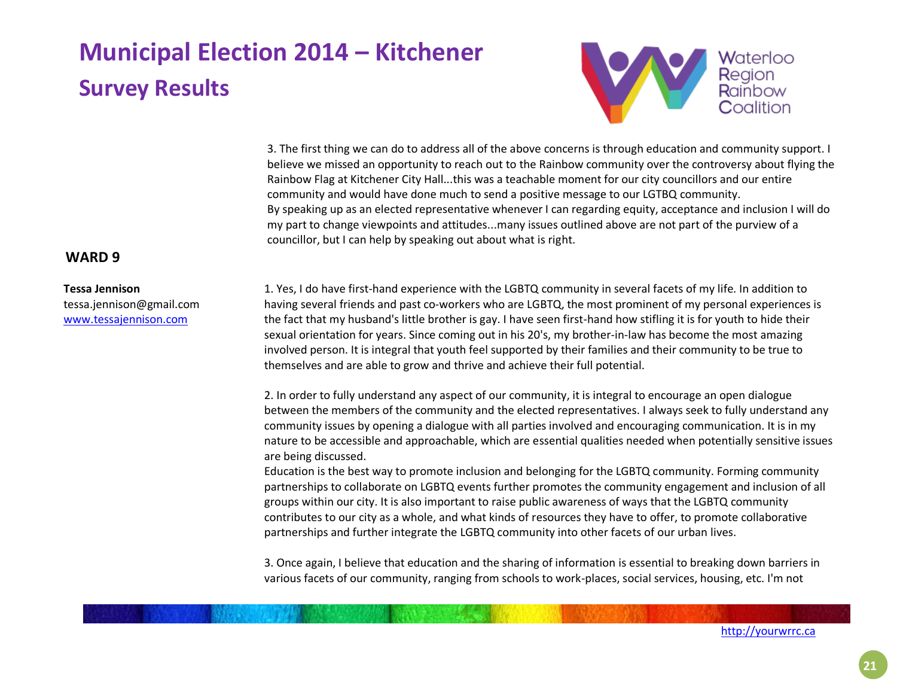

3. The first thing we can do to address all of the above concerns is through education and community support. I believe we missed an opportunity to reach out to the Rainbow community over the controversy about flying the Rainbow Flag at Kitchener City Hall...this was a teachable moment for our city councillors and our entire community and would have done much to send a positive message to our LGTBQ community. By speaking up as an elected representative whenever I can regarding equity, acceptance and inclusion I will do my part to change viewpoints and attitudes...many issues outlined above are not part of the purview of a councillor, but I can help by speaking out about what is right.

### **WARD 9**

### **Tessa Jennison**

tessa.jennison@gmail.com [www.tessajennison.com](http://www.tessajennison.com/)

1. Yes, I do have first-hand experience with the LGBTQ community in several facets of my life. In addition to having several friends and past co-workers who are LGBTQ, the most prominent of my personal experiences is the fact that my husband's little brother is gay. I have seen first-hand how stifling it is for youth to hide their sexual orientation for years. Since coming out in his 20's, my brother-in-law has become the most amazing involved person. It is integral that youth feel supported by their families and their community to be true to themselves and are able to grow and thrive and achieve their full potential.

2. In order to fully understand any aspect of our community, it is integral to encourage an open dialogue between the members of the community and the elected representatives. I always seek to fully understand any community issues by opening a dialogue with all parties involved and encouraging communication. It is in my nature to be accessible and approachable, which are essential qualities needed when potentially sensitive issues are being discussed.

Education is the best way to promote inclusion and belonging for the LGBTQ community. Forming community partnerships to collaborate on LGBTQ events further promotes the community engagement and inclusion of all groups within our city. It is also important to raise public awareness of ways that the LGBTQ community contributes to our city as a whole, and what kinds of resources they have to offer, to promote collaborative partnerships and further integrate the LGBTQ community into other facets of our urban lives.

3. Once again, I believe that education and the sharing of information is essential to breaking down barriers in various facets of our community, ranging from schools to work-places, social services, housing, etc. I'm not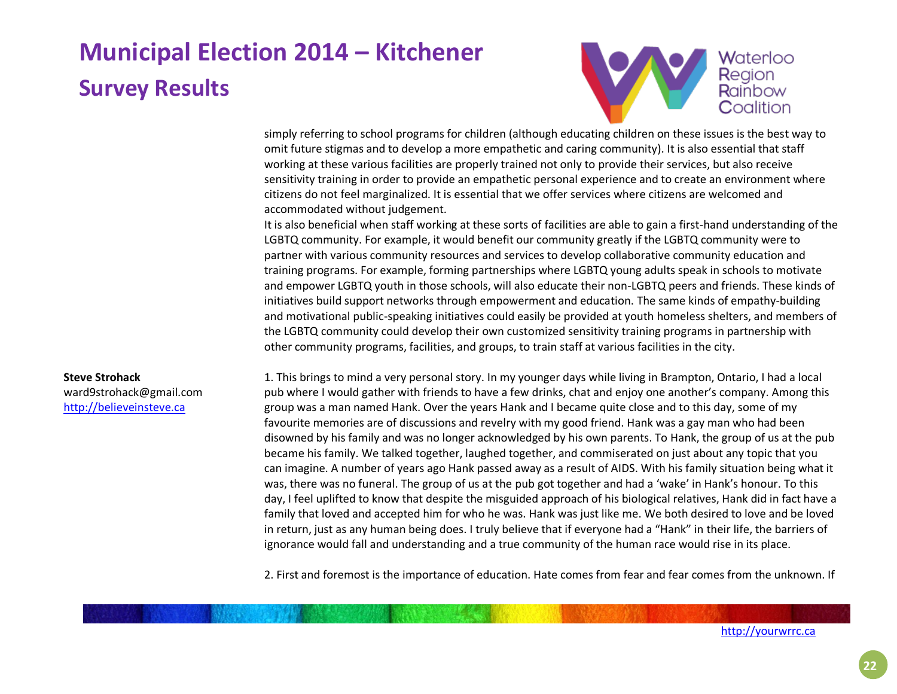

simply referring to school programs for children (although educating children on these issues is the best way to omit future stigmas and to develop a more empathetic and caring community). It is also essential that staff working at these various facilities are properly trained not only to provide their services, but also receive sensitivity training in order to provide an empathetic personal experience and to create an environment where citizens do not feel marginalized. It is essential that we offer services where citizens are welcomed and accommodated without judgement.

It is also beneficial when staff working at these sorts of facilities are able to gain a first-hand understanding of the LGBTQ community. For example, it would benefit our community greatly if the LGBTQ community were to partner with various community resources and services to develop collaborative community education and training programs. For example, forming partnerships where LGBTQ young adults speak in schools to motivate and empower LGBTQ youth in those schools, will also educate their non-LGBTQ peers and friends. These kinds of initiatives build support networks through empowerment and education. The same kinds of empathy-building and motivational public-speaking initiatives could easily be provided at youth homeless shelters, and members of the LGBTQ community could develop their own customized sensitivity training programs in partnership with other community programs, facilities, and groups, to train staff at various facilities in the city.

#### **Steve Strohack**

ward9strohack@gmail.com [http://believeinsteve.ca](http://believeinsteve.ca/)

1. This brings to mind a very personal story. In my younger days while living in Brampton, Ontario, I had a local pub where I would gather with friends to have a few drinks, chat and enjoy one another's company. Among this group was a man named Hank. Over the years Hank and I became quite close and to this day, some of my favourite memories are of discussions and revelry with my good friend. Hank was a gay man who had been disowned by his family and was no longer acknowledged by his own parents. To Hank, the group of us at the pub became his family. We talked together, laughed together, and commiserated on just about any topic that you can imagine. A number of years ago Hank passed away as a result of AIDS. With his family situation being what it was, there was no funeral. The group of us at the pub got together and had a 'wake' in Hank's honour. To this day, I feel uplifted to know that despite the misguided approach of his biological relatives, Hank did in fact have a family that loved and accepted him for who he was. Hank was just like me. We both desired to love and be loved in return, just as any human being does. I truly believe that if everyone had a "Hank" in their life, the barriers of ignorance would fall and understanding and a true community of the human race would rise in its place.

2. First and foremost is the importance of education. Hate comes from fear and fear comes from the unknown. If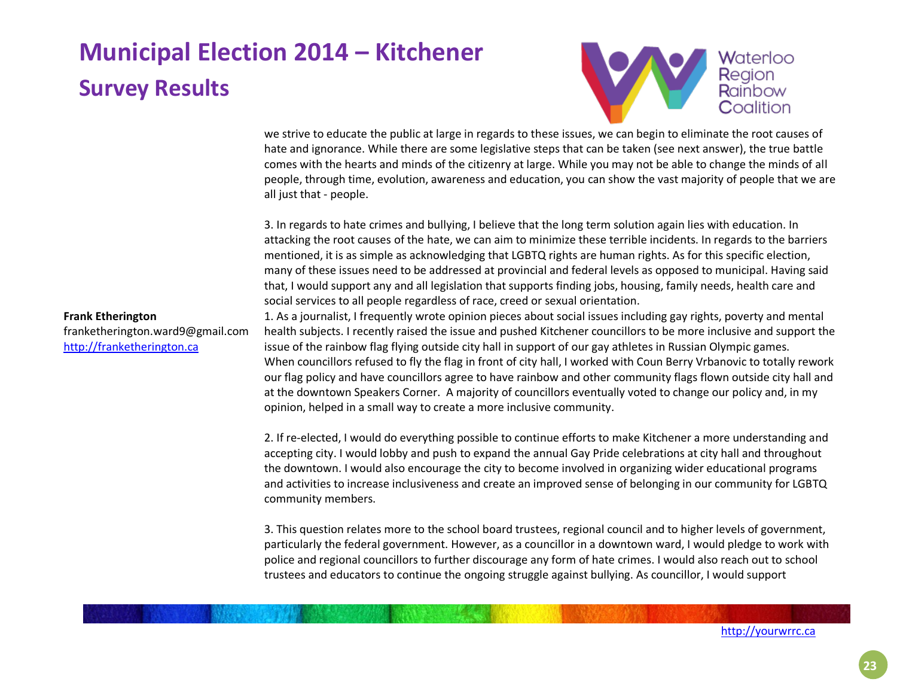

we strive to educate the public at large in regards to these issues, we can begin to eliminate the root causes of hate and ignorance. While there are some legislative steps that can be taken (see next answer), the true battle comes with the hearts and minds of the citizenry at large. While you may not be able to change the minds of all people, through time, evolution, awareness and education, you can show the vast majority of people that we are all just that - people.

3. In regards to hate crimes and bullying, I believe that the long term solution again lies with education. In attacking the root causes of the hate, we can aim to minimize these terrible incidents. In regards to the barriers mentioned, it is as simple as acknowledging that LGBTQ rights are human rights. As for this specific election, many of these issues need to be addressed at provincial and federal levels as opposed to municipal. Having said that, I would support any and all legislation that supports finding jobs, housing, family needs, health care and social services to all people regardless of race, creed or sexual orientation.

**Frank Etherington** franketherington.ward9@gmail.com [http://franketherington.ca](http://franketherington.ca/)

1. As a journalist, I frequently wrote opinion pieces about social issues including gay rights, poverty and mental health subjects. I recently raised the issue and pushed Kitchener councillors to be more inclusive and support the issue of the rainbow flag flying outside city hall in support of our gay athletes in Russian Olympic games. When councillors refused to fly the flag in front of city hall, I worked with Coun Berry Vrbanovic to totally rework our flag policy and have councillors agree to have rainbow and other community flags flown outside city hall and at the downtown Speakers Corner. A majority of councillors eventually voted to change our policy and, in my opinion, helped in a small way to create a more inclusive community.

2. If re-elected, I would do everything possible to continue efforts to make Kitchener a more understanding and accepting city. I would lobby and push to expand the annual Gay Pride celebrations at city hall and throughout the downtown. I would also encourage the city to become involved in organizing wider educational programs and activities to increase inclusiveness and create an improved sense of belonging in our community for LGBTQ community members.

3. This question relates more to the school board trustees, regional council and to higher levels of government, particularly the federal government. However, as a councillor in a downtown ward, I would pledge to work with police and regional councillors to further discourage any form of hate crimes. I would also reach out to school trustees and educators to continue the ongoing struggle against bullying. As councillor, I would support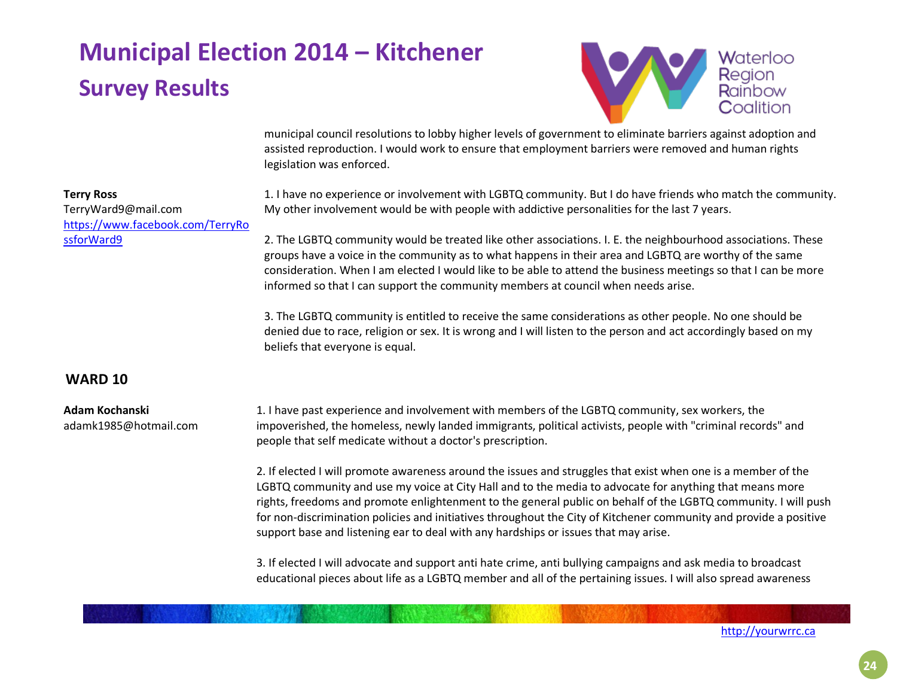

municipal council resolutions to lobby higher levels of government to eliminate barriers against adoption and assisted reproduction. I would work to ensure that employment barriers were removed and human rights legislation was enforced.

1. I have no experience or involvement with LGBTQ community. But I do have friends who match the community. My other involvement would be with people with addictive personalities for the last 7 years.

2. The LGBTQ community would be treated like other associations. I. E. the neighbourhood associations. These groups have a voice in the community as to what happens in their area and LGBTQ are worthy of the same consideration. When I am elected I would like to be able to attend the business meetings so that I can be more informed so that I can support the community members at council when needs arise.

3. The LGBTQ community is entitled to receive the same considerations as other people. No one should be denied due to race, religion or sex. It is wrong and I will listen to the person and act accordingly based on my beliefs that everyone is equal.

### **WARD 10**

**Terry Ross**

[ssforWard9](https://www.facebook.com/TerryRossforWard9)

TerryWard9@mail.com

[https://www.facebook.com/TerryRo](https://www.facebook.com/TerryRossforWard9)

#### **Adam Kochanski** adamk1985@hotmail.com

1. I have past experience and involvement with members of the LGBTQ community, sex workers, the impoverished, the homeless, newly landed immigrants, political activists, people with "criminal records" and people that self medicate without a doctor's prescription.

2. If elected I will promote awareness around the issues and struggles that exist when one is a member of the LGBTQ community and use my voice at City Hall and to the media to advocate for anything that means more rights, freedoms and promote enlightenment to the general public on behalf of the LGBTQ community. I will push for non-discrimination policies and initiatives throughout the City of Kitchener community and provide a positive support base and listening ear to deal with any hardships or issues that may arise.

3. If elected I will advocate and support anti hate crime, anti bullying campaigns and ask media to broadcast educational pieces about life as a LGBTQ member and all of the pertaining issues. I will also spread awareness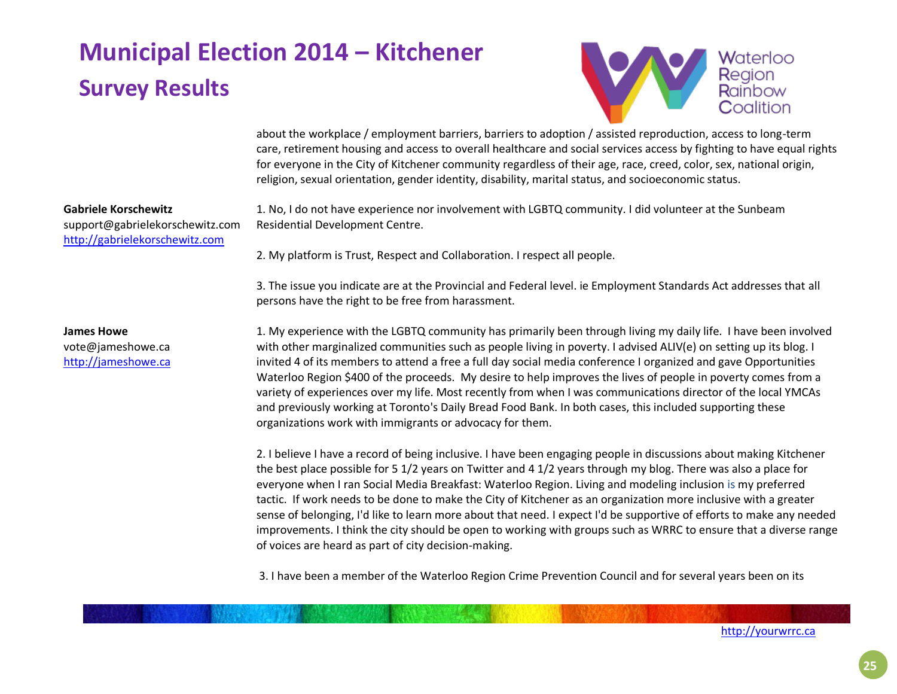

about the workplace / employment barriers, barriers to adoption / assisted reproduction, access to long-term care, retirement housing and access to overall healthcare and social services access by fighting to have equal rights for everyone in the City of Kitchener community regardless of their age, race, creed, color, sex, national origin, religion, sexual orientation, gender identity, disability, marital status, and socioeconomic status.

1. No, I do not have experience nor involvement with LGBTQ community. I did volunteer at the Sunbeam Residential Development Centre.

**Gabriele Korschewitz** support@gabrielekorschewitz.com [http://gabrielekorschewitz.com](http://gabrielekorschewitz.com/)

> 3. The issue you indicate are at the Provincial and Federal level. ie Employment Standards Act addresses that all persons have the right to be free from harassment.

2. My platform is Trust, Respect and Collaboration. I respect all people.

**James Howe** vote@jameshowe.ca [http://jameshowe.ca](http://jameshowe.ca/)

1. My experience with the LGBTQ community has primarily been through living my daily life. I have been involved with other marginalized communities such as people living in poverty. I advised ALIV(e) on setting up its blog. I invited 4 of its members to attend a free a full day social media conference I organized and gave Opportunities Waterloo Region \$400 of the proceeds. My desire to help improves the lives of people in poverty comes from a variety of experiences over my life. Most recently from when I was communications director of the local YMCAs and previously working at Toronto's Daily Bread Food Bank. In both cases, this included supporting these organizations work with immigrants or advocacy for them.

2. I believe I have a record of being inclusive. I have been engaging people in discussions about making Kitchener the best place possible for 5 1/2 years on Twitter and 4 1/2 years through my blog. There was also a place for everyone when I ran Social Media Breakfast: Waterloo Region. Living and modeling inclusion is my preferred tactic. If work needs to be done to make the City of Kitchener as an organization more inclusive with a greater sense of belonging, I'd like to learn more about that need. I expect I'd be supportive of efforts to make any needed improvements. I think the city should be open to working with groups such as WRRC to ensure that a diverse range of voices are heard as part of city decision-making.

3. I have been a member of the Waterloo Region Crime Prevention Council and for several years been on its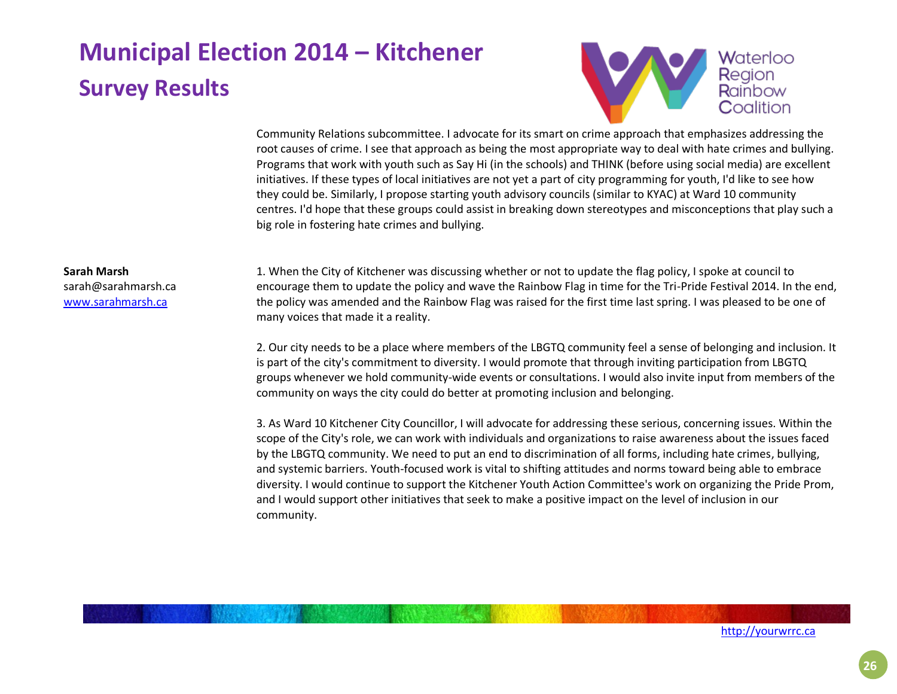

Community Relations subcommittee. I advocate for its smart on crime approach that emphasizes addressing the root causes of crime. I see that approach as being the most appropriate way to deal with hate crimes and bullying. Programs that work with youth such as Say Hi (in the schools) and THINK (before using social media) are excellent initiatives. If these types of local initiatives are not yet a part of city programming for youth, I'd like to see how they could be. Similarly, I propose starting youth advisory councils (similar to KYAC) at Ward 10 community centres. I'd hope that these groups could assist in breaking down stereotypes and misconceptions that play such a big role in fostering hate crimes and bullying.

#### **Sarah Marsh**

sarah@sarahmarsh.ca [www.sarahmarsh.ca](http://www.sarahmarsh.ca/)

1. When the City of Kitchener was discussing whether or not to update the flag policy, I spoke at council to encourage them to update the policy and wave the Rainbow Flag in time for the Tri-Pride Festival 2014. In the end, the policy was amended and the Rainbow Flag was raised for the first time last spring. I was pleased to be one of many voices that made it a reality.

2. Our city needs to be a place where members of the LBGTQ community feel a sense of belonging and inclusion. It is part of the city's commitment to diversity. I would promote that through inviting participation from LBGTQ groups whenever we hold community-wide events or consultations. I would also invite input from members of the community on ways the city could do better at promoting inclusion and belonging.

3. As Ward 10 Kitchener City Councillor, I will advocate for addressing these serious, concerning issues. Within the scope of the City's role, we can work with individuals and organizations to raise awareness about the issues faced by the LBGTQ community. We need to put an end to discrimination of all forms, including hate crimes, bullying, and systemic barriers. Youth-focused work is vital to shifting attitudes and norms toward being able to embrace diversity. I would continue to support the Kitchener Youth Action Committee's work on organizing the Pride Prom, and I would support other initiatives that seek to make a positive impact on the level of inclusion in our community.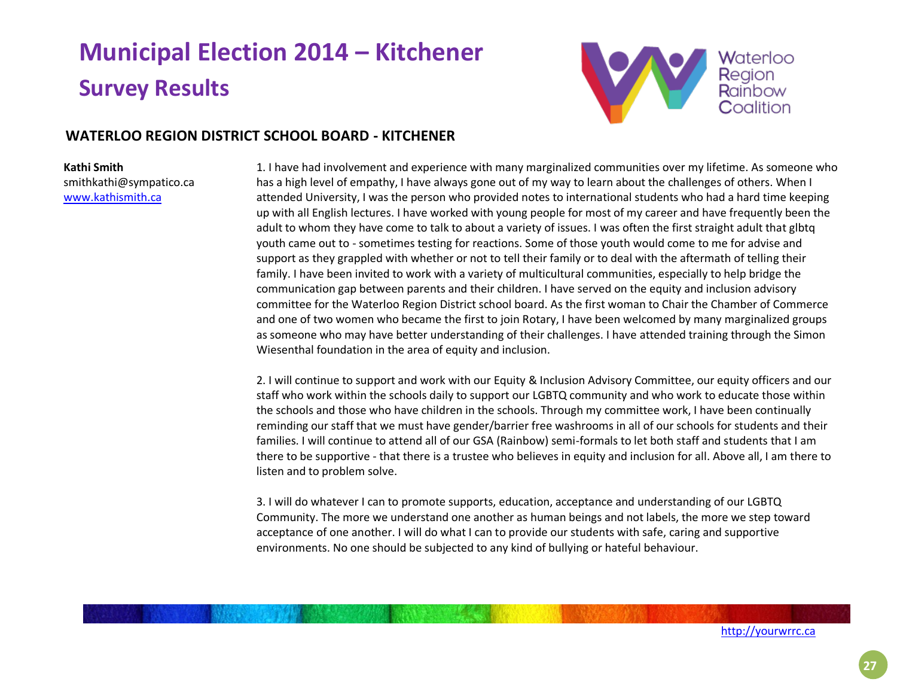

### **WATERLOO REGION DISTRICT SCHOOL BOARD - KITCHENER**

#### **Kathi Smith** smithkathi@sympatico.ca [www.kathismith.ca](http://www.kathismith.ca/)

1. I have had involvement and experience with many marginalized communities over my lifetime. As someone who has a high level of empathy, I have always gone out of my way to learn about the challenges of others. When I attended University, I was the person who provided notes to international students who had a hard time keeping up with all English lectures. I have worked with young people for most of my career and have frequently been the adult to whom they have come to talk to about a variety of issues. I was often the first straight adult that glbtq youth came out to - sometimes testing for reactions. Some of those youth would come to me for advise and support as they grappled with whether or not to tell their family or to deal with the aftermath of telling their family. I have been invited to work with a variety of multicultural communities, especially to help bridge the communication gap between parents and their children. I have served on the equity and inclusion advisory committee for the Waterloo Region District school board. As the first woman to Chair the Chamber of Commerce and one of two women who became the first to join Rotary, I have been welcomed by many marginalized groups as someone who may have better understanding of their challenges. I have attended training through the Simon Wiesenthal foundation in the area of equity and inclusion.

2. I will continue to support and work with our Equity & Inclusion Advisory Committee, our equity officers and our staff who work within the schools daily to support our LGBTQ community and who work to educate those within the schools and those who have children in the schools. Through my committee work, I have been continually reminding our staff that we must have gender/barrier free washrooms in all of our schools for students and their families. I will continue to attend all of our GSA (Rainbow) semi-formals to let both staff and students that I am there to be supportive - that there is a trustee who believes in equity and inclusion for all. Above all, I am there to listen and to problem solve.

3. I will do whatever I can to promote supports, education, acceptance and understanding of our LGBTQ Community. The more we understand one another as human beings and not labels, the more we step toward acceptance of one another. I will do what I can to provide our students with safe, caring and supportive environments. No one should be subjected to any kind of bullying or hateful behaviour.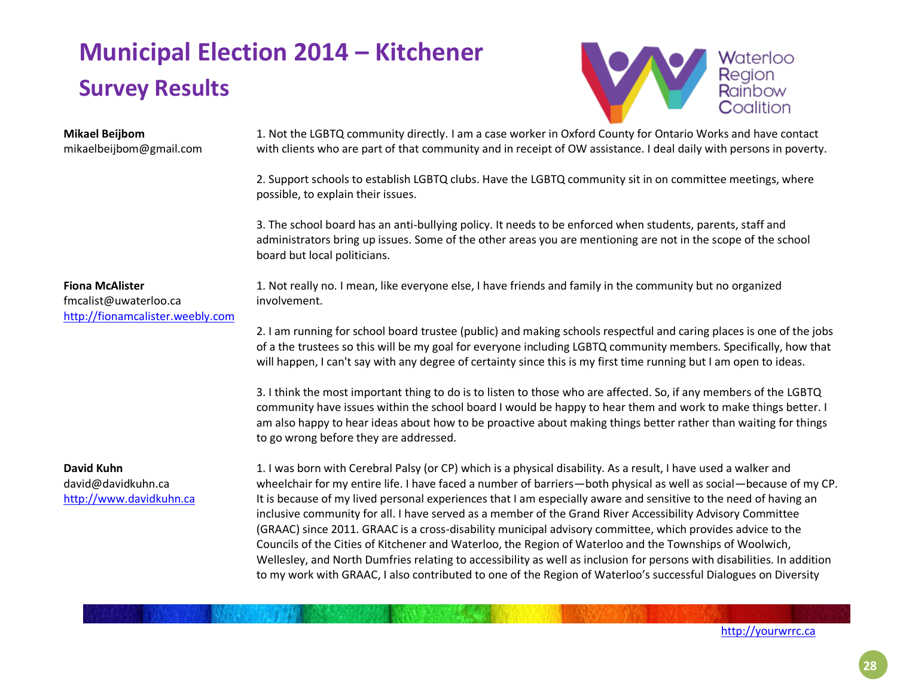

# **Mikael Beijbom**

mikaelbeijbom@gmail.com

1. Not the LGBTQ community directly. I am a case worker in Oxford County for Ontario Works and have contact with clients who are part of that community and in receipt of OW assistance. I deal daily with persons in poverty.

2. Support schools to establish LGBTQ clubs. Have the LGBTQ community sit in on committee meetings, where possible, to explain their issues.

3. The school board has an anti-bullying policy. It needs to be enforced when students, parents, staff and administrators bring up issues. Some of the other areas you are mentioning are not in the scope of the school board but local politicians.

#### **Fiona McAlister**

fmcalist@uwaterloo.ca [http://fionamcalister.weebly.com](http://fionamcalister.weebly.com/) 1. Not really no. I mean, like everyone else, I have friends and family in the community but no organized involvement.

2. I am running for school board trustee (public) and making schools respectful and caring places is one of the jobs of a the trustees so this will be my goal for everyone including LGBTQ community members. Specifically, how that will happen, I can't say with any degree of certainty since this is my first time running but I am open to ideas.

3. I think the most important thing to do is to listen to those who are affected. So, if any members of the LGBTQ community have issues within the school board I would be happy to hear them and work to make things better. I am also happy to hear ideas about how to be proactive about making things better rather than waiting for things to go wrong before they are addressed.

### **David Kuhn**

david@davidkuhn.ca [http://www.davidkuhn.ca](http://www.davidkuhn.ca/)

1. I was born with Cerebral Palsy (or CP) which is a physical disability. As a result, I have used a walker and wheelchair for my entire life. I have faced a number of barriers—both physical as well as social—because of my CP. It is because of my lived personal experiences that I am especially aware and sensitive to the need of having an inclusive community for all. I have served as a member of the Grand River Accessibility Advisory Committee (GRAAC) since 2011. GRAAC is a cross-disability municipal advisory committee, which provides advice to the Councils of the Cities of Kitchener and Waterloo, the Region of Waterloo and the Townships of Woolwich, Wellesley, and North Dumfries relating to accessibility as well as inclusion for persons with disabilities. In addition to my work with GRAAC, I also contributed to one of the Region of Waterloo's successful Dialogues on Diversity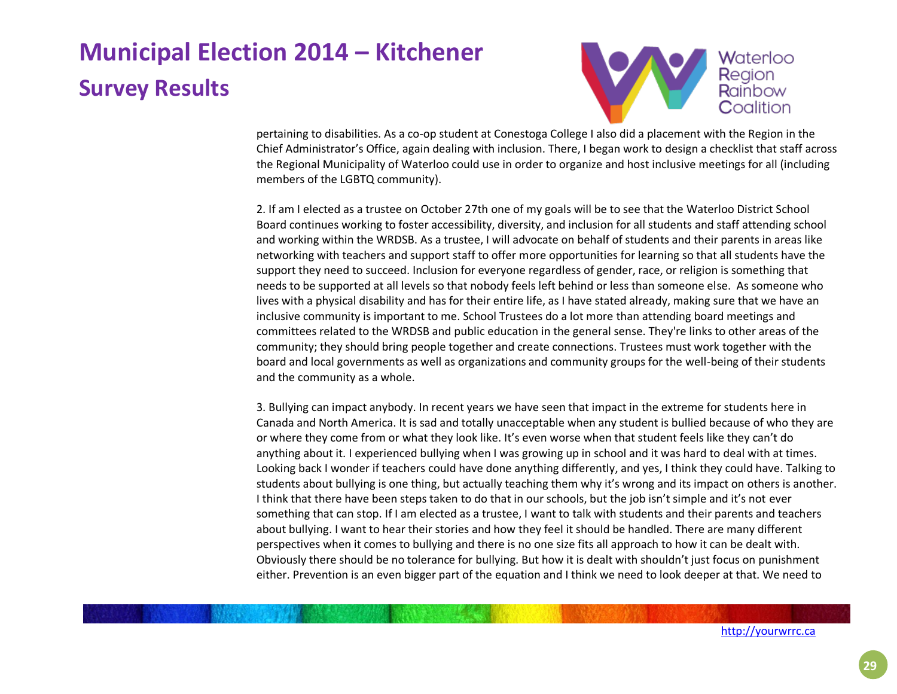

pertaining to disabilities. As a co-op student at Conestoga College I also did a placement with the Region in the Chief Administrator's Office, again dealing with inclusion. There, I began work to design a checklist that staff across the Regional Municipality of Waterloo could use in order to organize and host inclusive meetings for all (including members of the LGBTQ community).

2. If am I elected as a trustee on October 27th one of my goals will be to see that the Waterloo District School Board continues working to foster accessibility, diversity, and inclusion for all students and staff attending school and working within the WRDSB. As a trustee, I will advocate on behalf of students and their parents in areas like networking with teachers and support staff to offer more opportunities for learning so that all students have the support they need to succeed. Inclusion for everyone regardless of gender, race, or religion is something that needs to be supported at all levels so that nobody feels left behind or less than someone else. As someone who lives with a physical disability and has for their entire life, as I have stated already, making sure that we have an inclusive community is important to me. School Trustees do a lot more than attending board meetings and committees related to the WRDSB and public education in the general sense. They're links to other areas of the community; they should bring people together and create connections. Trustees must work together with the board and local governments as well as organizations and community groups for the well-being of their students and the community as a whole.

3. Bullying can impact anybody. In recent years we have seen that impact in the extreme for students here in Canada and North America. It is sad and totally unacceptable when any student is bullied because of who they are or where they come from or what they look like. It's even worse when that student feels like they can't do anything about it. I experienced bullying when I was growing up in school and it was hard to deal with at times. Looking back I wonder if teachers could have done anything differently, and yes, I think they could have. Talking to students about bullying is one thing, but actually teaching them why it's wrong and its impact on others is another. I think that there have been steps taken to do that in our schools, but the job isn't simple and it's not ever something that can stop. If I am elected as a trustee, I want to talk with students and their parents and teachers about bullying. I want to hear their stories and how they feel it should be handled. There are many different perspectives when it comes to bullying and there is no one size fits all approach to how it can be dealt with. Obviously there should be no tolerance for bullying. But how it is dealt with shouldn't just focus on punishment either. Prevention is an even bigger part of the equation and I think we need to look deeper at that. We need to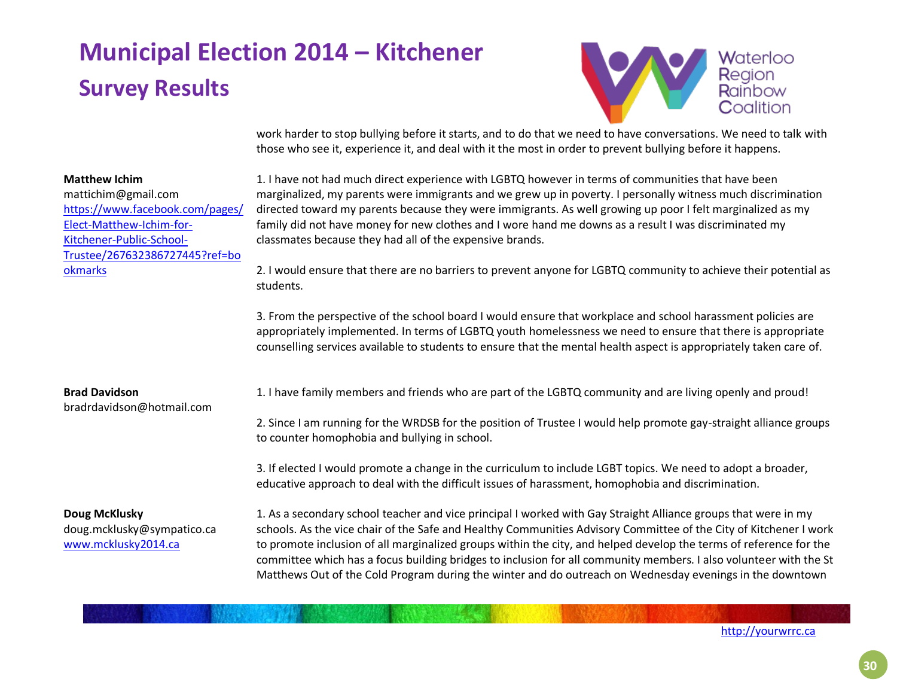

work harder to stop bullying before it starts, and to do that we need to have conversations. We need to talk with those who see it, experience it, and deal with it the most in order to prevent bullying before it happens.

1. I have not had much direct experience with LGBTQ however in terms of communities that have been marginalized, my parents were immigrants and we grew up in poverty. I personally witness much discrimination directed toward my parents because they were immigrants. As well growing up poor I felt marginalized as my family did not have money for new clothes and I wore hand me downs as a result I was discriminated my classmates because they had all of the expensive brands.

2. I would ensure that there are no barriers to prevent anyone for LGBTQ community to achieve their potential as students.

3. From the perspective of the school board I would ensure that workplace and school harassment policies are appropriately implemented. In terms of LGBTQ youth homelessness we need to ensure that there is appropriate counselling services available to students to ensure that the mental health aspect is appropriately taken care of.

#### **Brad Davidson**

**Matthew Ichim**

[okmarks](https://www.facebook.com/pages/Elect-Matthew-Ichim-for-Kitchener-Public-School-Trustee/267632386727445?ref=bookmarks)

mattichim@gmail.com

[Elect-Matthew-Ichim-for-](https://www.facebook.com/pages/Elect-Matthew-Ichim-for-Kitchener-Public-School-Trustee/267632386727445?ref=bookmarks)[Kitchener-Public-School-](https://www.facebook.com/pages/Elect-Matthew-Ichim-for-Kitchener-Public-School-Trustee/267632386727445?ref=bookmarks)

[https://www.facebook.com/pages/](https://www.facebook.com/pages/Elect-Matthew-Ichim-for-Kitchener-Public-School-Trustee/267632386727445?ref=bookmarks)

[Trustee/267632386727445?ref=bo](https://www.facebook.com/pages/Elect-Matthew-Ichim-for-Kitchener-Public-School-Trustee/267632386727445?ref=bookmarks)

bradrdavidson@hotmail.com

### **Doug McKlusky**

doug.mcklusky@sympatico.ca [www.mcklusky2014.ca](http://www.mcklusky2014.ca/)

1. I have family members and friends who are part of the LGBTQ community and are living openly and proud!

2. Since I am running for the WRDSB for the position of Trustee I would help promote gay-straight alliance groups to counter homophobia and bullying in school.

3. If elected I would promote a change in the curriculum to include LGBT topics. We need to adopt a broader, educative approach to deal with the difficult issues of harassment, homophobia and discrimination.

1. As a secondary school teacher and vice principal I worked with Gay Straight Alliance groups that were in my schools. As the vice chair of the Safe and Healthy Communities Advisory Committee of the City of Kitchener I work to promote inclusion of all marginalized groups within the city, and helped develop the terms of reference for the committee which has a focus building bridges to inclusion for all community members. I also volunteer with the St Matthews Out of the Cold Program during the winter and do outreach on Wednesday evenings in the downtown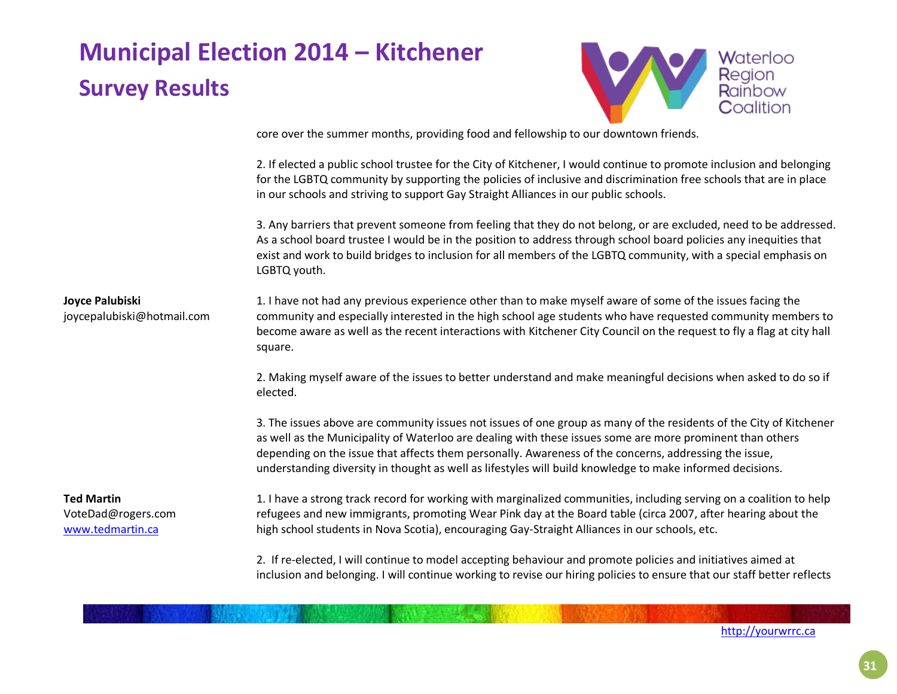

core over the summer months, providing food and fellowship to our downtown friends.

2. If elected a public school trustee for the City of Kitchener, I would continue to promote inclusion and belonging for the LGBTQ community by supporting the policies of inclusive and discrimination free schools that are in place in our schools and striving to support Gay Straight Alliances in our public schools.

3. Any barriers that prevent someone from feeling that they do not belong, or are excluded, need to be addressed. As a school board trustee I would be in the position to address through school board policies any inequities that exist and work to build bridges to inclusion for all members of the LGBTQ community, with a special emphasis on LGBTQ youth.

#### **Joyce Palubiski**

joycepalubiski@hotmail.com

1. I have not had any previous experience other than to make myself aware of some of the issues facing the community and especially interested in the high school age students who have requested community members to become aware as well as the recent interactions with Kitchener City Council on the request to fly a flag at city hall square.

2. Making myself aware of the issues to better understand and make meaningful decisions when asked to do so if elected.

3. The issues above are community issues not issues of one group as many of the residents of the City of Kitchener as well as the Municipality of Waterloo are dealing with these issues some are more prominent than others depending on the issue that affects them personally. Awareness of the concerns, addressing the issue, understanding diversity in thought as well as lifestyles will build knowledge to make informed decisions.

### **Ted Martin**

VoteDad@rogers.com [www.tedmartin.ca](http://www.tedmartin.ca/)

1. I have a strong track record for working with marginalized communities, including serving on a coalition to help refugees and new immigrants, promoting Wear Pink day at the Board table (circa 2007, after hearing about the high school students in Nova Scotia), encouraging Gay-Straight Alliances in our schools, etc.

2. If re-elected, I will continue to model accepting behaviour and promote policies and initiatives aimed at inclusion and belonging. I will continue working to revise our hiring policies to ensure that our staff better reflects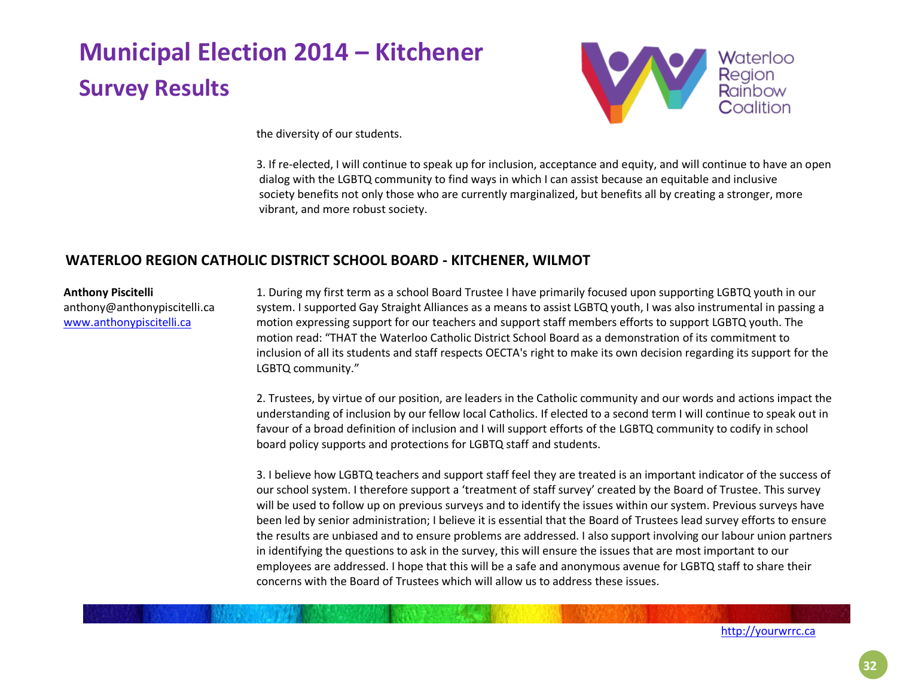

the diversity of our students.

3. If re-elected, I will continue to speak up for inclusion, acceptance and equity, and will continue to have an open dialog with the LGBTQ community to find ways in which I can assist because an equitable and inclusive society benefits not only those who are currently marginalized, but benefits all by creating a stronger, more vibrant, and more robust society.

### **WATERLOO REGION CATHOLIC DISTRICT SCHOOL BOARD - KITCHENER, WILMOT**

#### **Anthony Piscitelli**

anthony@anthonypiscitelli.ca [www.anthonypiscitelli.ca](http://www.anthonypiscitelli.ca/)

1. During my first term as a school Board Trustee I have primarily focused upon supporting LGBTQ youth in our system. I supported Gay Straight Alliances as a means to assist LGBTQ youth, I was also instrumental in passing a motion expressing support for our teachers and support staff members efforts to support LGBTQ youth. The motion read: "THAT the Waterloo Catholic District School Board as a demonstration of its commitment to inclusion of all its students and staff respects OECTA's right to make its own decision regarding its support for the LGBTQ community."

2. Trustees, by virtue of our position, are leaders in the Catholic community and our words and actions impact the understanding of inclusion by our fellow local Catholics. If elected to a second term I will continue to speak out in favour of a broad definition of inclusion and I will support efforts of the LGBTQ community to codify in school board policy supports and protections for LGBTQ staff and students.

3. I believe how LGBTQ teachers and support staff feel they are treated is an important indicator of the success of our school system. I therefore support a 'treatment of staff survey' created by the Board of Trustee. This survey will be used to follow up on previous surveys and to identify the issues within our system. Previous surveys have been led by senior administration; I believe it is essential that the Board of Trustees lead survey efforts to ensure the results are unbiased and to ensure problems are addressed. I also support involving our labour union partners in identifying the questions to ask in the survey, this will ensure the issues that are most important to our employees are addressed. I hope that this will be a safe and anonymous avenue for LGBTQ staff to share their concerns with the Board of Trustees which will allow us to address these issues.